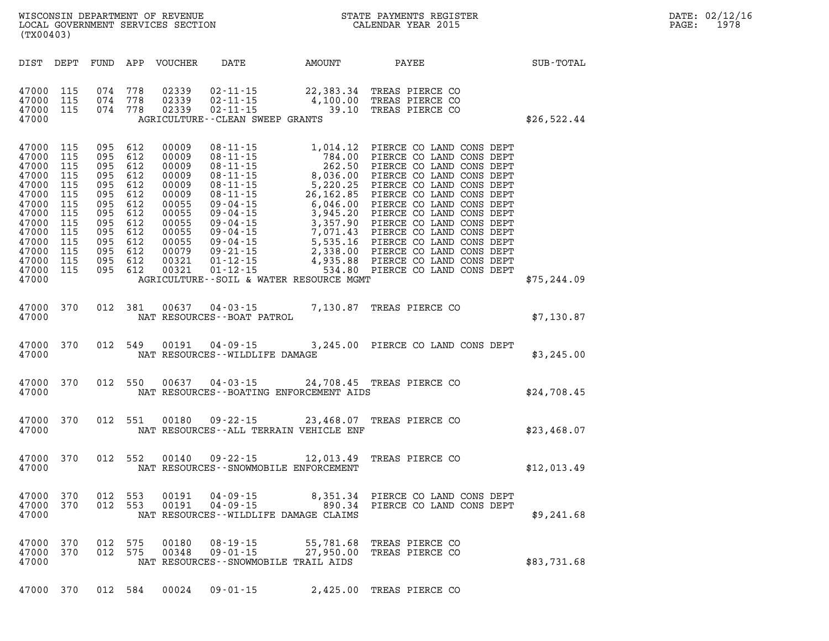| WISCONSIN DEPARTMENT OF REVENUE<br>LOCAL GOVERNMENT SERVICES SECTION<br>(TX00403)                                                           |                                                                                  |                                                                                                    |                                                                                         |                                                                                                                            |                                                                                          | STATE PAYMENTS REGISTER<br>CALENDAR YEAR 2015                  |                                                                                                                                                                                                                                                                                                                                 | DATE: 02/12/16<br>1978<br>PAGE: |  |
|---------------------------------------------------------------------------------------------------------------------------------------------|----------------------------------------------------------------------------------|----------------------------------------------------------------------------------------------------|-----------------------------------------------------------------------------------------|----------------------------------------------------------------------------------------------------------------------------|------------------------------------------------------------------------------------------|----------------------------------------------------------------|---------------------------------------------------------------------------------------------------------------------------------------------------------------------------------------------------------------------------------------------------------------------------------------------------------------------------------|---------------------------------|--|
| DIST DEPT                                                                                                                                   |                                                                                  |                                                                                                    |                                                                                         | FUND APP VOUCHER                                                                                                           | DATE                                                                                     | AMOUNT                                                         | PAYEE                                                                                                                                                                                                                                                                                                                           | SUB-TOTAL                       |  |
| 47000 115<br>47000<br>47000 115<br>47000                                                                                                    | 115                                                                              | 074 778<br>074<br>074 778                                                                          | 778                                                                                     | 02339<br>02339<br>02339                                                                                                    | $02 - 11 - 15$<br>$02 - 11 - 15$<br>$02 - 11 - 15$<br>AGRICULTURE - - CLEAN SWEEP GRANTS | 22,383.34<br>4,100.00<br>39.10                                 | TREAS PIERCE CO<br>TREAS PIERCE CO<br>TREAS PIERCE CO                                                                                                                                                                                                                                                                           | \$26,522.44                     |  |
| 47000 115<br>47000<br>47000<br>47000<br>47000<br>47000<br>47000<br>47000<br>47000<br>47000<br>47000<br>47000<br>47000<br>47000 115<br>47000 | 115<br>115<br>115<br>115<br>115<br>115<br>115<br>115<br>115<br>115<br>115<br>115 | 095 612<br>095<br>095<br>095<br>095<br>095<br>095<br>095<br>095<br>095<br>095<br>095<br>095<br>095 | 612<br>612<br>612<br>612<br>612<br>612<br>612<br>612<br>612<br>612<br>612<br>612<br>612 | 00009<br>00009<br>00009<br>00009<br>00009<br>00009<br>00055<br>00055<br>00055<br>00055<br>00055<br>00079<br>00321<br>00321 | $08 - 11 - 15$<br>$08 - 11 - 15$                                                         | 784.00<br>AGRICULTURE--SOIL & WATER RESOURCE MGMT              | 1,014.12 PIERCE CO LAND CONS DEPT<br>PIERCE CO LAND CONS DEPT<br>08-11-15<br>08-11-15<br>08-11-15<br>08-11-15<br>08-11-15<br>08-11-15<br>5,220.25<br>PIERCE COLAND CONS DEPT<br>08-11-15<br>5,220.25<br>PIERCE COLAND CONS DEPT<br>09-04-15<br>6,046.00<br>PIERCE COLAND CONS DEPT<br>09-04-15<br>3,945.20<br>PIERCE COLAND CON | \$75, 244.09                    |  |
| 47000 370<br>47000                                                                                                                          |                                                                                  | 012 381                                                                                            |                                                                                         | 00637                                                                                                                      | $04 - 03 - 15$<br>NAT RESOURCES - - BOAT PATROL                                          |                                                                | 7,130.87 TREAS PIERCE CO                                                                                                                                                                                                                                                                                                        | \$7,130.87                      |  |
| 47000 370<br>47000                                                                                                                          |                                                                                  | 012 549                                                                                            |                                                                                         | 00191                                                                                                                      | $04 - 09 - 15$<br>NAT RESOURCES - - WILDLIFE DAMAGE                                      |                                                                | 3,245.00 PIERCE CO LAND CONS DEPT                                                                                                                                                                                                                                                                                               | \$3,245.00                      |  |
| 47000 370<br>47000                                                                                                                          |                                                                                  | 012 550                                                                                            |                                                                                         | 00637                                                                                                                      | $04 - 03 - 15$                                                                           | NAT RESOURCES - - BOATING ENFORCEMENT AIDS                     | 24,708.45 TREAS PIERCE CO                                                                                                                                                                                                                                                                                                       | \$24,708.45                     |  |
| 47000 370<br>47000                                                                                                                          |                                                                                  | 012 551                                                                                            |                                                                                         | 00180                                                                                                                      | $09 - 22 - 15$                                                                           | NAT RESOURCES -- ALL TERRAIN VEHICLE ENF                       | 23,468.07 TREAS PIERCE CO                                                                                                                                                                                                                                                                                                       | \$23,468.07                     |  |
| 47000<br>47000                                                                                                                              | 370                                                                              | 012 552                                                                                            |                                                                                         | 00140                                                                                                                      | $09 - 22 - 15$                                                                           | 12,013.49<br>NAT RESOURCES - - SNOWMOBILE ENFORCEMENT          | TREAS PIERCE CO                                                                                                                                                                                                                                                                                                                 | \$12,013.49                     |  |
| 47000<br>47000<br>47000                                                                                                                     | 370<br>370                                                                       | 012<br>012                                                                                         | 553<br>553                                                                              | 00191<br>00191                                                                                                             | $04 - 09 - 15$<br>$04 - 09 - 15$                                                         | 8,351.34<br>890.34<br>NAT RESOURCES - - WILDLIFE DAMAGE CLAIMS | PIERCE CO LAND CONS DEPT<br>PIERCE CO LAND CONS DEPT                                                                                                                                                                                                                                                                            | \$9,241.68                      |  |
| 47000<br>47000<br>47000                                                                                                                     | 370<br>370                                                                       | 012 575<br>012                                                                                     | 575                                                                                     | 00180<br>00348                                                                                                             | $08 - 19 - 15$<br>$09 - 01 - 15$<br>NAT RESOURCES - - SNOWMOBILE TRAIL AIDS              | 55,781.68<br>27,950.00                                         | TREAS PIERCE CO<br>TREAS PIERCE CO                                                                                                                                                                                                                                                                                              | \$83,731.68                     |  |
| 47000 370                                                                                                                                   |                                                                                  | 012 584                                                                                            |                                                                                         | 00024                                                                                                                      | $09 - 01 - 15$                                                                           |                                                                | 2,425.00 TREAS PIERCE CO                                                                                                                                                                                                                                                                                                        |                                 |  |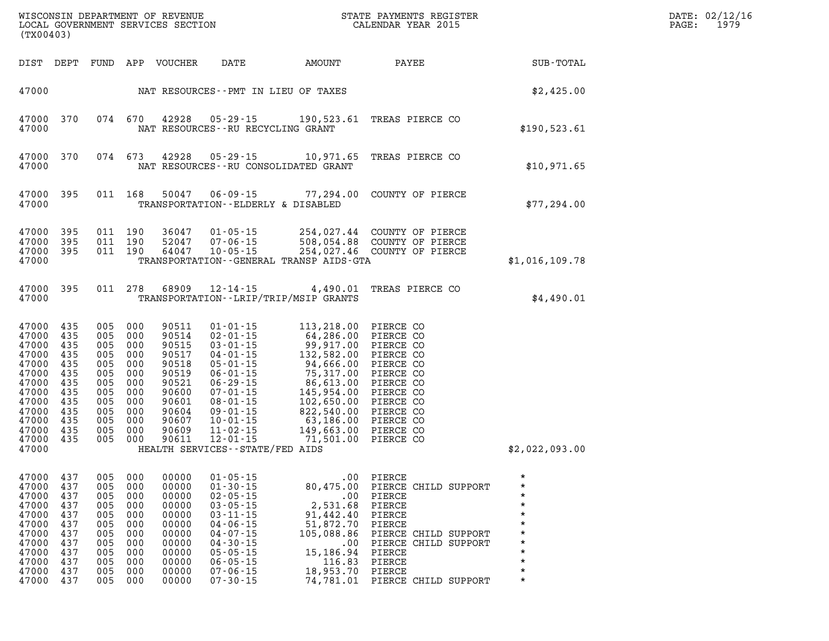| (TX00403)                                                                                                                                                      |                                                                           |                                                                           |                                                                                                                                     |                                                                                                                   |                                                                                                                                                                                                                                                            | WISCONSIN DEPARTMENT OF REVENUE<br>LOCAL GOVERNMENT SERVICES SECTION<br>(TYO0402)                                                                                                                                                                                    | STATE PAYMENTS REGISTER<br>CALENDAR YEAR 2015                                                                                                                                              |                                                                                                  | DATE: 02/12/16<br>1979<br>PAGE: |
|----------------------------------------------------------------------------------------------------------------------------------------------------------------|---------------------------------------------------------------------------|---------------------------------------------------------------------------|-------------------------------------------------------------------------------------------------------------------------------------|-------------------------------------------------------------------------------------------------------------------|------------------------------------------------------------------------------------------------------------------------------------------------------------------------------------------------------------------------------------------------------------|----------------------------------------------------------------------------------------------------------------------------------------------------------------------------------------------------------------------------------------------------------------------|--------------------------------------------------------------------------------------------------------------------------------------------------------------------------------------------|--------------------------------------------------------------------------------------------------|---------------------------------|
|                                                                                                                                                                | DIST DEPT                                                                 |                                                                           |                                                                                                                                     | FUND APP VOUCHER                                                                                                  | DATE                                                                                                                                                                                                                                                       | AMOUNT                                                                                                                                                                                                                                                               | PAYEE                                                                                                                                                                                      | SUB-TOTAL                                                                                        |                                 |
| 47000                                                                                                                                                          |                                                                           |                                                                           |                                                                                                                                     |                                                                                                                   |                                                                                                                                                                                                                                                            | NAT RESOURCES - PMT IN LIEU OF TAXES                                                                                                                                                                                                                                 |                                                                                                                                                                                            | \$2,425.00                                                                                       |                                 |
| 47000                                                                                                                                                          | 47000 370                                                                 |                                                                           | 074 670                                                                                                                             | 42928                                                                                                             | NAT RESOURCES - - RU RECYCLING GRANT                                                                                                                                                                                                                       |                                                                                                                                                                                                                                                                      | 05-29-15 190,523.61 TREAS PIERCE CO                                                                                                                                                        | \$190,523.61                                                                                     |                                 |
| 47000                                                                                                                                                          | 47000 370                                                                 |                                                                           | 074 673                                                                                                                             | 42928                                                                                                             |                                                                                                                                                                                                                                                            | NAT RESOURCES - - RU CONSOLIDATED GRANT                                                                                                                                                                                                                              | 05-29-15 10,971.65 TREAS PIERCE CO                                                                                                                                                         | \$10,971.65                                                                                      |                                 |
| 47000 395<br>47000                                                                                                                                             |                                                                           |                                                                           | 011 168                                                                                                                             | 50047                                                                                                             | TRANSPORTATION--ELDERLY & DISABLED                                                                                                                                                                                                                         |                                                                                                                                                                                                                                                                      | 06-09-15 77,294.00 COUNTY OF PIERCE                                                                                                                                                        | \$77,294.00                                                                                      |                                 |
| 47000 395<br>47000<br>47000 395<br>47000                                                                                                                       | 395                                                                       |                                                                           | 011 190<br>011 190<br>011 190                                                                                                       | 36047<br>52047<br>64047                                                                                           |                                                                                                                                                                                                                                                            | TRANSPORTATION--GENERAL TRANSP AIDS-GTA                                                                                                                                                                                                                              | 01-05-15   254,027.44   COUNTY OF PIERCE<br>07-06-15   508,054.88   COUNTY OF PIERCE<br>10-05-15   254,027.46   COUNTY OF PIERCE                                                           | \$1,016,109.78                                                                                   |                                 |
| 47000 395<br>47000                                                                                                                                             |                                                                           |                                                                           | 011 278                                                                                                                             | 68909                                                                                                             | $12 - 14 - 15$                                                                                                                                                                                                                                             | 4,490.01<br>TRANSPORTATION - - LRIP/TRIP/MSIP GRANTS                                                                                                                                                                                                                 | TREAS PIERCE CO                                                                                                                                                                            | \$4,490.01                                                                                       |                                 |
| 47000 435<br>47000<br>47000<br>47000<br>47000 435<br>47000<br>47000 435<br>47000 435<br>47000 435<br>47000 435<br>47000 435<br>47000 435<br>47000 435<br>47000 | 435<br>435<br>435<br>435                                                  | 005<br>005                                                                | 005 000<br>005 000<br>005 000<br>005 000<br>005 000<br>000<br>000<br>005 000<br>005 000<br>005 000<br>005 000<br>005 000<br>005 000 | 90511<br>90514<br>90515<br>90517<br>90518<br>90519<br>90521<br>90600<br>90601<br>90604<br>90607<br>90609<br>90611 | $02 - 01 - 15$<br>$03 - 01 - 15$<br>$04 - 01 - 15$<br>$05 - 01 - 15$<br>$06 - 01 - 15$<br>$06 - 29 - 15$<br>$07 - 01 - 15$<br>$08 - 01 - 15$<br>$09 - 01 - 15$<br>$10 - 01 - 15$<br>$11 - 02 - 15$<br>$12 - 01 - 15$<br>HEALTH SERVICES - - STATE/FED AIDS | $01 - 01 - 15$ 113, 218.00<br>64,286.00 PIERCE CO<br>$\begin{array}{r} 117.716\ 64,286.00\ 99,917.00\ 132,582.00\ 94,666.00\ 75,317.00\ 86,613.00\ 145,954.00\ 102,650.00\ 82,540.00\ 63,186.00\ 149,663.00\ \end{array}$<br>149,663.00 FILMS<br>71,501.00 PIERCE CO | PIERCE CO<br>PIERCE CO<br>PIERCE CO<br>PIERCE CO<br>PIERCE CO<br>PIERCE CO<br>PIERCE CO<br>PIERCE CO<br>PIERCE CO<br>PIERCE CO                                                             | \$2,022,093.00                                                                                   |                                 |
| 47000<br>47000<br>47000<br>47000<br>47000<br>47000<br>47000<br>47000<br>47000<br>47000<br>47000                                                                | 437<br>437<br>437<br>437<br>437<br>437<br>437<br>437<br>437<br>437<br>437 | 005<br>005<br>005<br>005<br>005<br>005<br>005<br>005<br>005<br>005<br>005 | 000<br>000<br>000<br>000<br>000<br>000<br>000<br>000<br>000<br>000<br>000                                                           | 00000<br>00000<br>00000<br>00000<br>00000<br>00000<br>00000<br>00000<br>00000<br>00000<br>00000                   | 47000 437 005 000 00000 01-05-15<br>$01 - 30 - 15$<br>$02 - 05 - 15$<br>$03 - 05 - 15$<br>$03 - 11 - 15$<br>$04 - 06 - 15$<br>$04 - 07 - 15$<br>$04 - 30 - 15$<br>$05 - 05 - 15$<br>$06 - 05 - 15$<br>$07 - 06 - 15$<br>$07 - 30 - 15$                     | .00<br>2,531.68<br>91,442.40<br>51,872.70<br>105,088.86<br>$.00 \,$<br>15,186.94<br>116.83<br>18,953.70 PIERCE                                                                                                                                                       | .00 PIERCE<br>80,475.00 PIERCE CHILD SUPPORT<br>PIERCE<br>PIERCE<br>PIERCE<br>PIERCE<br>PIERCE CHILD SUPPORT<br>PIERCE CHILD SUPPORT<br>PIERCE<br>PIERCE<br>74,781.01 PIERCE CHILD SUPPORT | $\star$<br>$^\star$<br>$\star$<br>$\star$<br>$\star$<br>$\star$<br>$\star$<br>$\star$<br>$\star$ |                                 |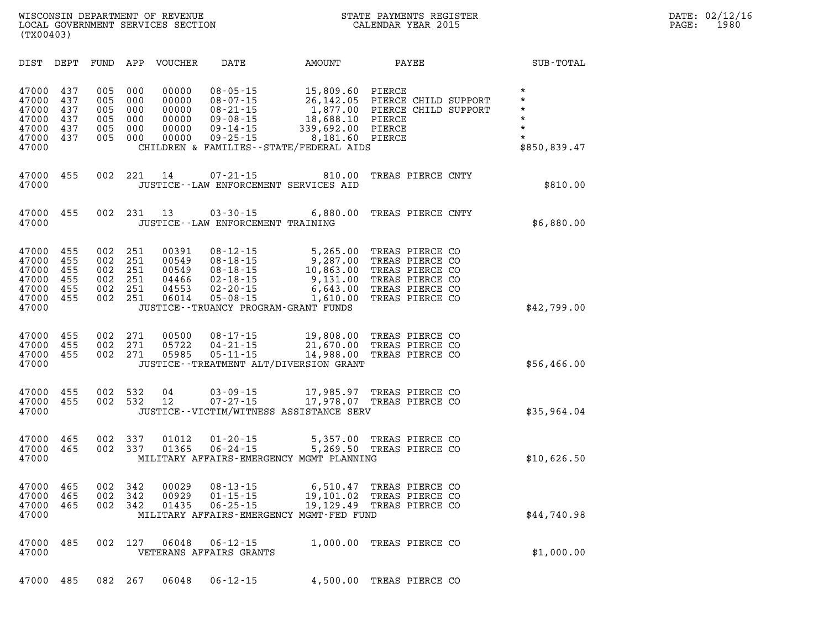| DIST                                                        | DEPT                                   | FUND                                   | APP                                    | <b>VOUCHER</b>                                     | <b>DATE</b>                                                                                              | <b>AMOUNT</b>                                                                                                         | PAYEE                                                                                                          | SUB-TOTAL                                                                      |
|-------------------------------------------------------------|----------------------------------------|----------------------------------------|----------------------------------------|----------------------------------------------------|----------------------------------------------------------------------------------------------------------|-----------------------------------------------------------------------------------------------------------------------|----------------------------------------------------------------------------------------------------------------|--------------------------------------------------------------------------------|
| 47000<br>47000<br>47000<br>47000<br>47000<br>47000<br>47000 | 437<br>437<br>437<br>437<br>437<br>437 | 005<br>005<br>005<br>005<br>005<br>005 | 000<br>000<br>000<br>000<br>000<br>000 | 00000<br>00000<br>00000<br>00000<br>00000<br>00000 | $08 - 05 - 15$<br>$08 - 07 - 15$<br>$08 - 21 - 15$<br>$09 - 08 - 15$<br>$09 - 14 - 15$<br>$09 - 25 - 15$ | 15,809.60<br>26, 142.05<br>1,877.00<br>18,688.10<br>339,692.00<br>8,181.60<br>CHILDREN & FAMILIES--STATE/FEDERAL AIDS | PIERCE<br>PIERCE CHILD SUPPORT<br>PIERCE CHILD SUPPORT<br>PIERCE<br>PIERCE<br>PIERCE                           | $\star$<br>$\star$<br>$\star$<br>$\star$<br>$\star$<br>$\star$<br>\$850,839.47 |
| 47000<br>47000                                              | 455                                    | 002                                    | 221                                    | 14                                                 | $07 - 21 - 15$                                                                                           | 810.00<br>JUSTICE--LAW ENFORCEMENT SERVICES AID                                                                       | TREAS PIERCE CNTY                                                                                              | \$810.00                                                                       |
| 47000<br>47000                                              | 455                                    | 002                                    | 231                                    | 13                                                 | $03 - 30 - 15$<br>JUSTICE - - LAW ENFORCEMENT TRAINING                                                   | 6,880.00                                                                                                              | TREAS PIERCE CNTY                                                                                              | \$6,880.00                                                                     |
| 47000<br>47000<br>47000<br>47000<br>47000<br>47000<br>47000 | 455<br>455<br>455<br>455<br>455<br>455 | 002<br>002<br>002<br>002<br>002<br>002 | 251<br>251<br>251<br>251<br>251<br>251 | 00391<br>00549<br>00549<br>04466<br>04553<br>06014 | $08 - 12 - 15$<br>$08 - 18 - 15$<br>$08 - 18 - 15$<br>$02 - 18 - 15$<br>$02 - 20 - 15$<br>$05 - 08 - 15$ | 5,265.00<br>9,287.00<br>10,863.00<br>9,131.00<br>6,643.00<br>1,610.00<br>JUSTICE - - TRUANCY PROGRAM - GRANT FUNDS    | TREAS PIERCE CO<br>TREAS PIERCE CO<br>TREAS PIERCE CO<br>TREAS PIERCE CO<br>TREAS PIERCE CO<br>TREAS PIERCE CO | \$42,799.00                                                                    |
| 47000<br>47000<br>47000<br>47000                            | 455<br>455<br>455                      | 002<br>002<br>002                      | 271<br>271<br>271                      | 00500<br>05722<br>05985                            | $08 - 17 - 15$<br>$04 - 21 - 15$<br>$05 - 11 - 15$                                                       | 19,808.00<br>21,670.00<br>14,988.00<br>JUSTICE - TREATMENT ALT/DIVERSION GRANT                                        | TREAS PIERCE CO<br>TREAS PIERCE CO<br>TREAS PIERCE CO                                                          | \$56,466.00                                                                    |
| 47000<br>47000<br>47000                                     | 455<br>455                             | 002<br>002                             | 532<br>532                             | 04<br>12                                           | $03 - 09 - 15$<br>$07 - 27 - 15$                                                                         | 17,985.97<br>17,978.07<br>JUSTICE -- VICTIM/WITNESS ASSISTANCE SERV                                                   | TREAS PIERCE CO<br>TREAS PIERCE CO                                                                             | \$35,964.04                                                                    |
| 47000<br>47000<br>47000                                     | 465<br>465                             | 002<br>002                             | 337<br>337                             | 01012<br>01365                                     | $01 - 20 - 15$<br>$06 - 24 - 15$                                                                         | 5,357.00<br>5,269.50<br>MILITARY AFFAIRS-EMERGENCY MGMT PLANNING                                                      | TREAS PIERCE CO<br>TREAS PIERCE CO                                                                             | \$10,626.50                                                                    |
| 47000<br>47000<br>47000<br>47000                            | 465<br>465<br>465                      | 002<br>002<br>002                      | 342<br>342<br>342                      | 00029<br>00929<br>01435                            | $08 - 13 - 15$<br>$01 - 15 - 15$<br>$06 - 25 - 15$                                                       | 6,510.47<br>19,101.02<br>19,129.49<br>MILITARY AFFAIRS-EMERGENCY MGMT-FED FUND                                        | TREAS PIERCE CO<br>TREAS PIERCE CO<br>TREAS PIERCE CO                                                          | \$44,740.98                                                                    |
| 47000<br>47000                                              | 485                                    | 002                                    | 127                                    | 06048                                              | $06 - 12 - 15$<br>VETERANS AFFAIRS GRANTS                                                                | 1,000.00                                                                                                              | TREAS PIERCE CO                                                                                                | \$1,000.00                                                                     |
| 47000                                                       | 485                                    | 082                                    | 267                                    | 06048                                              | $06 - 12 - 15$                                                                                           | 4,500.00                                                                                                              | TREAS PIERCE CO                                                                                                |                                                                                |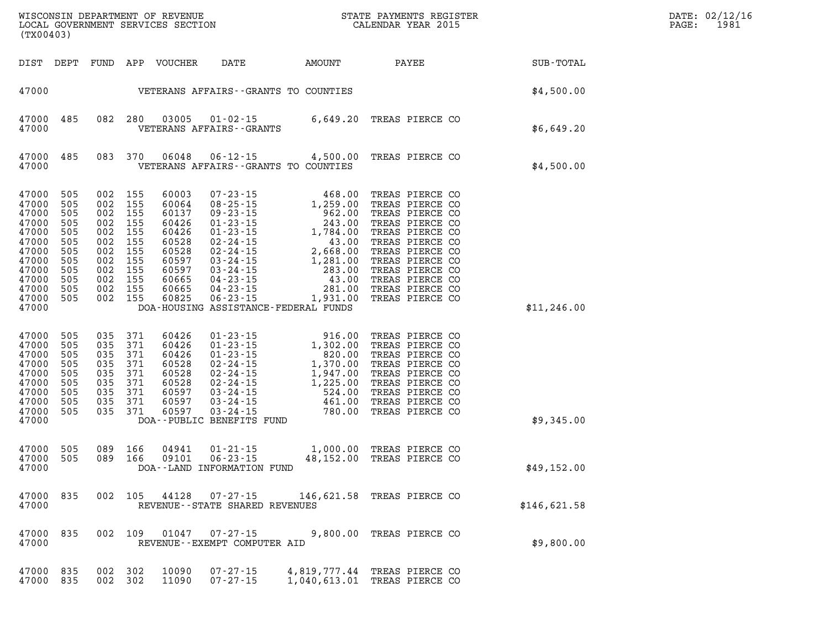| (TX00403)                                                                                                                 |                                                                    |                                                                                                                                  |                                 |                                                                                                          |                                                | WISCONSIN DEPARTMENT OF REVENUE<br>LOCAL GOVERNMENT SERVICES SECTION<br>CALENDAR YEAR 2015                                                                                                                                                                                                                                                                                                     |                                                                                                                                                                                                                                  | DATE: 02/12/16<br>$\mathtt{PAGE}$ :<br>1981 |  |
|---------------------------------------------------------------------------------------------------------------------------|--------------------------------------------------------------------|----------------------------------------------------------------------------------------------------------------------------------|---------------------------------|----------------------------------------------------------------------------------------------------------|------------------------------------------------|------------------------------------------------------------------------------------------------------------------------------------------------------------------------------------------------------------------------------------------------------------------------------------------------------------------------------------------------------------------------------------------------|----------------------------------------------------------------------------------------------------------------------------------------------------------------------------------------------------------------------------------|---------------------------------------------|--|
| DIST DEPT                                                                                                                 |                                                                    |                                                                                                                                  |                                 | FUND APP VOUCHER                                                                                         | DATE                                           | AMOUNT PAYEE                                                                                                                                                                                                                                                                                                                                                                                   |                                                                                                                                                                                                                                  | SUB-TOTAL                                   |  |
|                                                                                                                           |                                                                    |                                                                                                                                  |                                 |                                                                                                          |                                                | 47000    VETERANS AFFAIRS - GRANTS TO COUNTIES                                                                                                                                                                                                                                                                                                                                                 |                                                                                                                                                                                                                                  | \$4,500.00                                  |  |
| 47000 485<br>47000                                                                                                        |                                                                    |                                                                                                                                  | 082 280                         | 03005                                                                                                    | VETERANS AFFAIRS - - GRANTS                    | 01-02-15 6,649.20 TREAS PIERCE CO                                                                                                                                                                                                                                                                                                                                                              |                                                                                                                                                                                                                                  | \$6,649.20                                  |  |
| 47000 485<br>47000                                                                                                        |                                                                    |                                                                                                                                  | 083 370                         | 06048                                                                                                    |                                                | 06-12-15 4,500.00 TREAS PIERCE CO<br>VETERANS AFFAIRS -- GRANTS TO COUNTIES                                                                                                                                                                                                                                                                                                                    |                                                                                                                                                                                                                                  | \$4,500.00                                  |  |
| 47000<br>47000<br>47000<br>47000<br>47000<br>47000<br>47000<br>47000<br>47000<br>47000<br>47000 505<br>47000 505<br>47000 | 505<br>505<br>505<br>505<br>505<br>505<br>505<br>505<br>505<br>505 | 002 155<br>002 155<br>002 155<br>002 155<br>002 155<br>002 155<br>002 155<br>002 155<br>002 155<br>002 155<br>002 155<br>002 155 |                                 | 60003<br>60064<br>60137<br>60426<br>60426<br>60528<br>60528<br>60597<br>60597<br>60665<br>60665<br>60825 | $06 - 23 - 15$                                 | $\begin{array}{cccc} 07\text{-}23\text{-}15 & 468.00 \\ 08\text{-}25\text{-}15 & 1,259.00 \\ 09\text{-}23\text{-}15 & 962.00 \\ 01\text{-}23\text{-}15 & 243.00 \\ 02\text{-}24\text{-}15 & 1,784.00 \\ 02\text{-}24\text{-}15 & 2,668.00 \\ 03\text{-}24\text{-}15 & 1,281.00 \\ 04\text{-}23\text{-}15 & 43.00 \\ 04\text{-}23\text{-}1$<br>1,931.00<br>DOA-HOUSING ASSISTANCE-FEDERAL FUNDS | TREAS PIERCE CO<br>TREAS PIERCE CO<br>TREAS PIERCE CO<br>TREAS PIERCE CO<br>TREAS PIERCE CO<br>TREAS PIERCE CO<br>TREAS PIERCE CO<br>TREAS PIERCE CO<br>TREAS PIERCE CO<br>TREAS PIERCE CO<br>TREAS PIERCE CO<br>TREAS PIERCE CO | \$11, 246.00                                |  |
| 47000<br>47000<br>47000<br>47000<br>47000<br>47000<br>47000<br>47000<br>47000 505<br>47000                                | 505<br>505<br>505<br>505<br>505<br>505<br>505<br>505               | 035<br>035 371<br>035<br>035 371<br>035<br>035 371<br>035<br>035 371<br>035                                                      | 371<br>371<br>371<br>371<br>371 | 60426<br>60426<br>60426<br>60528<br>60528<br>60528<br>60597<br>60597<br>60597                            | DOA--PUBLIC BENEFITS FUND                      | 01-23-15<br>01-23-15<br>01-23-15<br>01-23-15<br>02-24-15<br>02-24-15<br>03-24-15<br>03-24-15<br>03-24-15<br>03-24-15<br>03-24-15<br>03-24-15<br>03-24-15<br>03-24-15<br>03-24-15<br>03-24-15<br>03-24-15<br>03-24-15<br>03-24-15<br>03-24-15<br>03-24-15<br>03-24-15<br>03                                                                                                                     | TREAS PIERCE CO<br>TREAS PIERCE CO<br>TREAS PIERCE CO<br>TREAS PIERCE CO<br>TREAS PIERCE CO<br>TREAS PIERCE CO<br>TREAS PIERCE CO<br>TREAS PIERCE CO<br>TREAS PIERCE CO                                                          | \$9,345.00                                  |  |
| 47000<br>47000<br>47000                                                                                                   | 505<br>505                                                         | 089<br>089                                                                                                                       | 166<br>166                      | 04941<br>09101                                                                                           | DOA--LAND INFORMATION FUND                     | 01-21-15 1,000.00 TREAS PIERCE CO<br>06-23-15 48,152.00 TREAS PIERCE CO                                                                                                                                                                                                                                                                                                                        | TREAS PIERCE CO                                                                                                                                                                                                                  | \$49,152.00                                 |  |
| 47000<br>47000                                                                                                            | 835                                                                |                                                                                                                                  | 002 105                         | 44128                                                                                                    | 07-27-15<br>REVENUE--STATE SHARED REVENUES     |                                                                                                                                                                                                                                                                                                                                                                                                | 146,621.58 TREAS PIERCE CO                                                                                                                                                                                                       | \$146,621.58                                |  |
| 47000<br>47000                                                                                                            | 835                                                                | 002 109                                                                                                                          |                                 | 01047                                                                                                    | $07 - 27 - 15$<br>REVENUE--EXEMPT COMPUTER AID | 9,800.00                                                                                                                                                                                                                                                                                                                                                                                       | TREAS PIERCE CO                                                                                                                                                                                                                  | \$9,800.00                                  |  |
| 47000 835<br>47000                                                                                                        | 835                                                                | 002 302<br>002 302                                                                                                               |                                 | 10090<br>11090                                                                                           | $07 - 27 - 15$<br>$07 - 27 - 15$               |                                                                                                                                                                                                                                                                                                                                                                                                | 4,819,777.44 TREAS PIERCE CO<br>1,040,613.01 TREAS PIERCE CO                                                                                                                                                                     |                                             |  |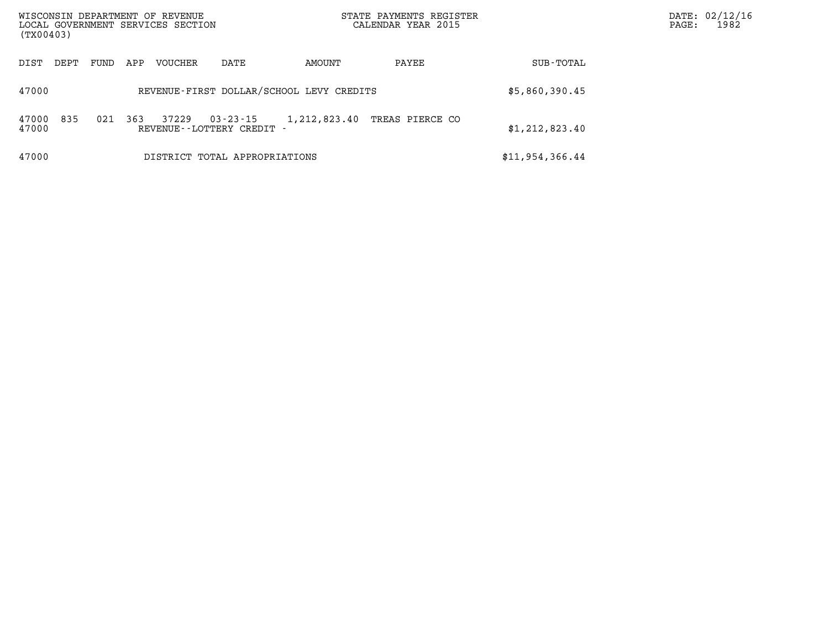| WISCONSIN DEPARTMENT OF REVENUE<br>LOCAL GOVERNMENT SERVICES SECTION<br>(TX00403) |      |      |     |                |                                              | STATE PAYMENTS REGISTER<br>CALENDAR YEAR 2015 |                 |                 | DATE: 02/12/16<br>1982<br>PAGE: |
|-----------------------------------------------------------------------------------|------|------|-----|----------------|----------------------------------------------|-----------------------------------------------|-----------------|-----------------|---------------------------------|
| DIST                                                                              | DEPT | FUND | APP | <b>VOUCHER</b> | DATE                                         | AMOUNT                                        | PAYEE           | SUB-TOTAL       |                                 |
| 47000                                                                             |      |      |     |                | REVENUE-FIRST DOLLAR/SCHOOL LEVY CREDITS     |                                               |                 | \$5,860,390.45  |                                 |
| 47000<br>47000                                                                    | 835  | 021  | 363 | 37229          | $03 - 23 - 15$<br>REVENUE - - LOTTERY CREDIT | 1,212,823.40                                  | TREAS PIERCE CO | \$1,212,823.40  |                                 |
| 47000                                                                             |      |      |     |                | DISTRICT TOTAL APPROPRIATIONS                |                                               |                 | \$11,954,366.44 |                                 |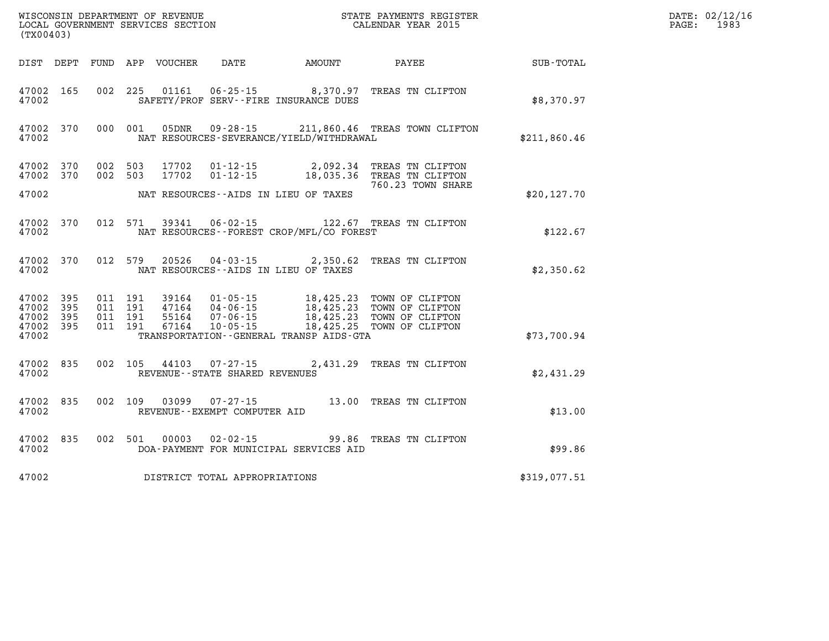| (TX00403)                        |                           |                                          | WISCONSIN DEPARTMENT OF REVENUE<br>LOCAL GOVERNMENT SERVICES SECTION |                                                                |                                                                  | STATE PAYMENTS REGISTER<br>CALENDAR YEAR 2015                                                                    |              | DATE: 02/12/16<br>1983<br>PAGE: |
|----------------------------------|---------------------------|------------------------------------------|----------------------------------------------------------------------|----------------------------------------------------------------|------------------------------------------------------------------|------------------------------------------------------------------------------------------------------------------|--------------|---------------------------------|
| DIST DEPT                        |                           |                                          | FUND APP VOUCHER                                                     | DATE                                                           | AMOUNT                                                           | PAYEE                                                                                                            | SUB-TOTAL    |                                 |
| 47002 165<br>47002               |                           | 002 225                                  | 01161                                                                |                                                                | $06 - 25 - 15$ 8,370.97<br>SAFETY/PROF SERV--FIRE INSURANCE DUES | TREAS TN CLIFTON                                                                                                 | \$8,370.97   |                                 |
| 47002 370<br>47002               |                           | 000 001                                  | 05DNR                                                                |                                                                | NAT RESOURCES-SEVERANCE/YIELD/WITHDRAWAL                         | 09-28-15 211,860.46 TREAS TOWN CLIFTON                                                                           | \$211,860.46 |                                 |
| 47002 370<br>47002 370           |                           | 002 503<br>002 503                       | 17702<br>17702                                                       | 01-12-15<br>$01 - 12 - 15$                                     | 2,092.34                                                         | TREAS TN CLIFTON<br>18,035.36 TREAS TN CLIFTON                                                                   |              |                                 |
| 47002                            |                           |                                          |                                                                      |                                                                | NAT RESOURCES--AIDS IN LIEU OF TAXES                             | 760.23 TOWN SHARE                                                                                                | \$20, 127.70 |                                 |
| 47002 370<br>47002               |                           | 012 571                                  | 39341                                                                | 06-02-15                                                       | NAT RESOURCES - - FOREST CROP/MFL/CO FOREST                      | 122.67 TREAS TN CLIFTON                                                                                          | \$122.67     |                                 |
| 47002 370<br>47002               |                           | 012 579                                  | 20526                                                                | 04-03-15                                                       | 2,350.62<br>NAT RESOURCES - AIDS IN LIEU OF TAXES                | TREAS TN CLIFTON                                                                                                 | \$2,350.62   |                                 |
| 47002<br>47002<br>47002<br>47002 | 395<br>395<br>-395<br>395 | 011 191<br>011 191<br>011 191<br>011 191 | 55164<br>67164                                                       | 39164 01-05-15<br>47164 04-06-15<br>07-06-15<br>$10 - 05 - 15$ |                                                                  | 18,425.23 TOWN OF CLIFTON<br>18,425.23 TOWN OF CLIFTON<br>18,425.23 TOWN OF CLIFTON<br>18,425.25 TOWN OF CLIFTON |              |                                 |
| 47002                            |                           |                                          |                                                                      |                                                                | TRANSPORTATION - - GENERAL TRANSP AIDS - GTA                     |                                                                                                                  | \$73,700.94  |                                 |
| 47002 835<br>47002               |                           | 002 105                                  | 44103                                                                | 07-27-15<br>REVENUE - - STATE SHARED REVENUES                  |                                                                  | 2,431.29 TREAS TN CLIFTON                                                                                        | \$2,431.29   |                                 |
| 47002 835<br>47002               |                           | 002 109                                  | 03099                                                                | $07 - 27 - 15$<br>REVENUE--EXEMPT COMPUTER AID                 |                                                                  | 13.00 TREAS TN CLIFTON                                                                                           | \$13.00      |                                 |
| 47002 835<br>47002               |                           | 002 501                                  | 00003                                                                | $02 - 02 - 15$                                                 | DOA-PAYMENT FOR MUNICIPAL SERVICES AID                           | 99.86 TREAS TN CLIFTON                                                                                           | \$99.86      |                                 |
| 47002                            |                           |                                          |                                                                      | DISTRICT TOTAL APPROPRIATIONS                                  |                                                                  |                                                                                                                  | \$319,077.51 |                                 |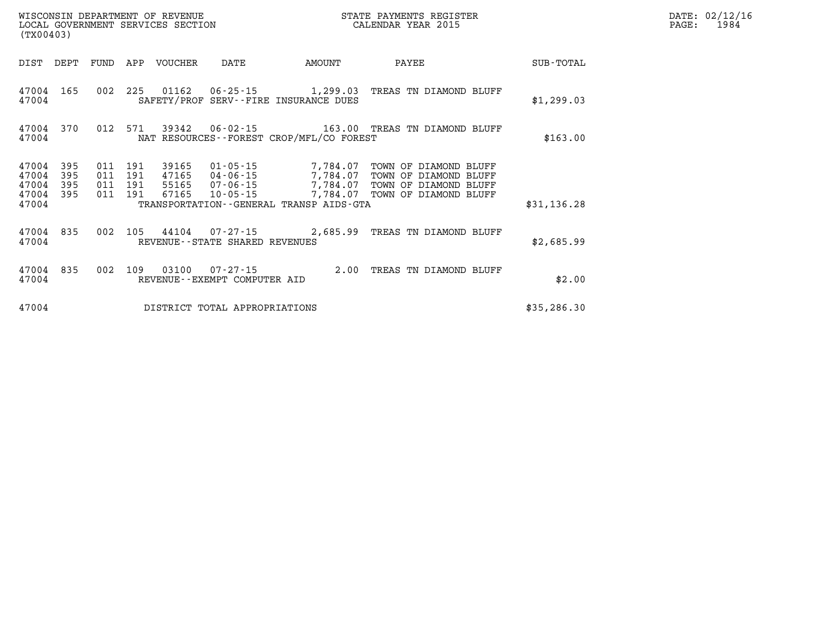| (TX00403)               |                   |                   |                   | WISCONSIN DEPARTMENT OF REVENUE<br>LOCAL GOVERNMENT SERVICES SECTION |                                                     |                                                          | STATE PAYMENTS REGISTER<br>CALENDAR YEAR 2015                           |              |
|-------------------------|-------------------|-------------------|-------------------|----------------------------------------------------------------------|-----------------------------------------------------|----------------------------------------------------------|-------------------------------------------------------------------------|--------------|
| DIST                    | DEPT              | FUND              | APP               | <b>VOUCHER</b>                                                       | DATE                                                | AMOUNT                                                   | PAYEE                                                                   | SUB-TOTAL    |
| 47004<br>47004          | 165               | 002               | 225               | 01162                                                                | 06-25-15                                            | 1,299.03<br>SAFETY/PROF SERV--FIRE INSURANCE DUES        | TREAS TN DIAMOND BLUFF                                                  | \$1,299.03   |
| 47004<br>47004          | 370               | 012               | 571               | 39342                                                                | 06-02-15                                            | NAT RESOURCES - - FOREST CROP/MFL/CO FOREST              | 163.00 TREAS TN DIAMOND BLUFF                                           | \$163.00     |
| 47004<br>47004<br>47004 | 395<br>395<br>395 | 011<br>011<br>011 | 191<br>191<br>191 | 39165<br>47165<br>55165                                              | 01-05-15<br>04-06-15<br>07-06-15                    | 7,784.07<br>7,784.07<br>7,784.07                         | TOWN OF DIAMOND BLUFF<br>TOWN OF DIAMOND BLUFF<br>TOWN OF DIAMOND BLUFF |              |
| 47004<br>47004          | 395               | 011               | 191               | 67165                                                                | $10 - 05 - 15$                                      | 7,784.07<br>TRANSPORTATION - - GENERAL TRANSP AIDS - GTA | TOWN OF DIAMOND BLUFF                                                   | \$31,136.28  |
| 47004<br>47004          | 835               | 002               | 105               | 44104                                                                | $07 - 27 - 15$<br>REVENUE - - STATE SHARED REVENUES | 2,685.99                                                 | TREAS TN DIAMOND BLUFF                                                  | \$2,685.99   |
| 47004<br>47004          | 835               | 002               | 109               | 03100                                                                | $07 - 27 - 15$<br>REVENUE - - EXEMPT COMPUTER AID   | 2.00                                                     | TREAS<br>TN DIAMOND BLUFF                                               | \$2.00       |
| 47004                   |                   |                   |                   |                                                                      | DISTRICT TOTAL APPROPRIATIONS                       |                                                          |                                                                         | \$35, 286.30 |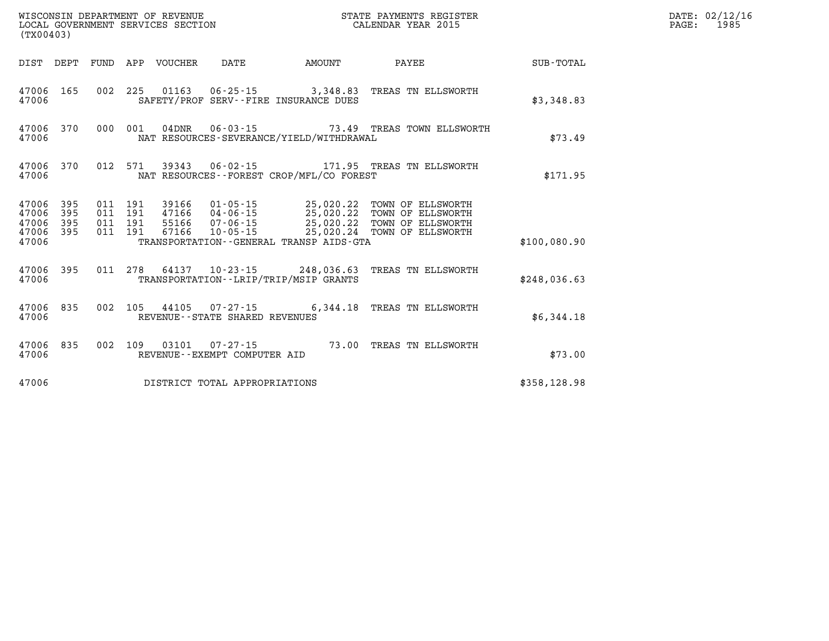| (TX00403)                                                 |           |  |                                 |                                |                                              |                                                                |              | DATE: 02/12/16<br>$\mathtt{PAGE:}$<br>1985 |
|-----------------------------------------------------------|-----------|--|---------------------------------|--------------------------------|----------------------------------------------|----------------------------------------------------------------|--------------|--------------------------------------------|
|                                                           |           |  | DIST DEPT FUND APP VOUCHER DATE |                                | <b>AMOUNT</b>                                | <b>PAYEE</b>                                                   | SUB-TOTAL    |                                            |
| 47006 165<br>47006                                        |           |  |                                 |                                | SAFETY/PROF SERV--FIRE INSURANCE DUES        | 002 225 01163 06-25-15 3,348.83 TREAS TN ELLSWORTH             | \$3,348.83   |                                            |
| 47006                                                     |           |  |                                 |                                | NAT RESOURCES-SEVERANCE/YIELD/WITHDRAWAL     | 47006 370 000 001 04DNR 06-03-15 73.49 TREAS TOWN ELLSWORTH    | \$73.49      |                                            |
| 47006                                                     |           |  |                                 |                                | NAT RESOURCES--FOREST CROP/MFL/CO FOREST     | 47006 370 012 571 39343 06-02-15 171.95 TREAS TN ELLSWORTH     | \$171.95     |                                            |
| 47006 395<br>47006 395<br>47006 395<br>47006 395<br>47006 |           |  |                                 |                                | TRANSPORTATION - - GENERAL TRANSP AIDS - GTA |                                                                | \$100,080.90 |                                            |
| 47006                                                     |           |  |                                 |                                | TRANSPORTATION--LRIP/TRIP/MSIP GRANTS        | 47006 395 011 278 64137 10-23-15 248,036.63 TREAS TN ELLSWORTH | \$248,036.63 |                                            |
| 47006                                                     |           |  |                                 | REVENUE--STATE SHARED REVENUES |                                              | 47006 835 002 105 44105 07-27-15 6,344.18 TREAS TN ELLSWORTH   | \$6,344.18   |                                            |
| 47006                                                     | 47006 835 |  |                                 | REVENUE--EXEMPT COMPUTER AID   |                                              | 002 109 03101 07-27-15 73.00 TREAS TN ELLSWORTH                | \$73.00      |                                            |
| 47006                                                     |           |  |                                 | DISTRICT TOTAL APPROPRIATIONS  |                                              |                                                                | \$358,128.98 |                                            |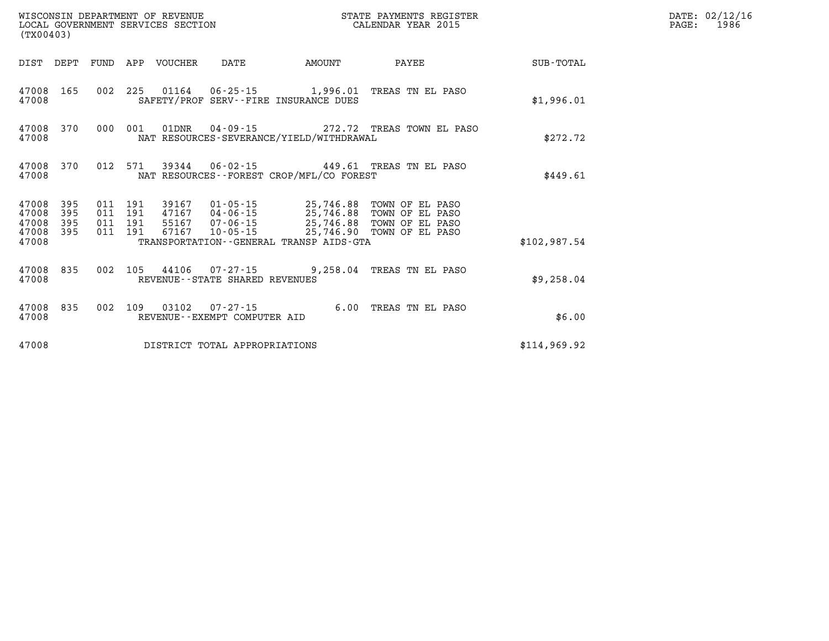| (TX00403)                            |                   |         |                                 | WISCONSIN DEPARTMENT OF REVENUE<br>LOCAL GOVERNMENT SERVICES SECTION |                                          | STATE PAYMENTS REGISTER<br>CALENDAR YEAR 2015    |              | DATE: 02/12/16<br>PAGE: 1986 |
|--------------------------------------|-------------------|---------|---------------------------------|----------------------------------------------------------------------|------------------------------------------|--------------------------------------------------|--------------|------------------------------|
|                                      |                   |         | DIST DEPT FUND APP VOUCHER DATE |                                                                      | AMOUNT                                   | <b>PAYEE</b>                                     | SUB-TOTAL    |                              |
| 47008 165<br>47008                   |                   |         |                                 |                                                                      | SAFETY/PROF SERV--FIRE INSURANCE DUES    | 002 225 01164 06-25-15 1,996.01 TREAS TN EL PASO | \$1,996.01   |                              |
| 47008 370<br>47008                   |                   | 000 001 | 01DNR                           |                                                                      | NAT RESOURCES-SEVERANCE/YIELD/WITHDRAWAL | 04-09-15 272.72 TREAS TOWN EL PASO               | \$272.72     |                              |
| 47008 370<br>47008                   |                   |         |                                 |                                                                      | NAT RESOURCES--FOREST CROP/MFL/CO FOREST | 012 571 39344 06-02-15 449.61 TREAS TN EL PASO   | \$449.61     |                              |
| 47008<br>47008<br>47008<br>47008 395 | 395<br>395<br>395 |         |                                 |                                                                      |                                          |                                                  |              |                              |
| 47008                                |                   |         |                                 |                                                                      | TRANSPORTATION--GENERAL TRANSP AIDS-GTA  |                                                  | \$102,987.54 |                              |
| 47008 835<br>47008                   |                   |         |                                 | REVENUE--STATE SHARED REVENUES                                       |                                          | 002 105 44106 07-27-15 9,258.04 TREAS TN EL PASO | \$9,258.04   |                              |
| 47008 835<br>47008                   |                   |         |                                 | REVENUE--EXEMPT COMPUTER AID                                         |                                          | 002 109 03102 07-27-15 6.00 TREAS TN EL PASO     | \$6.00       |                              |
| 47008                                |                   |         |                                 | DISTRICT TOTAL APPROPRIATIONS                                        |                                          |                                                  | \$114,969.92 |                              |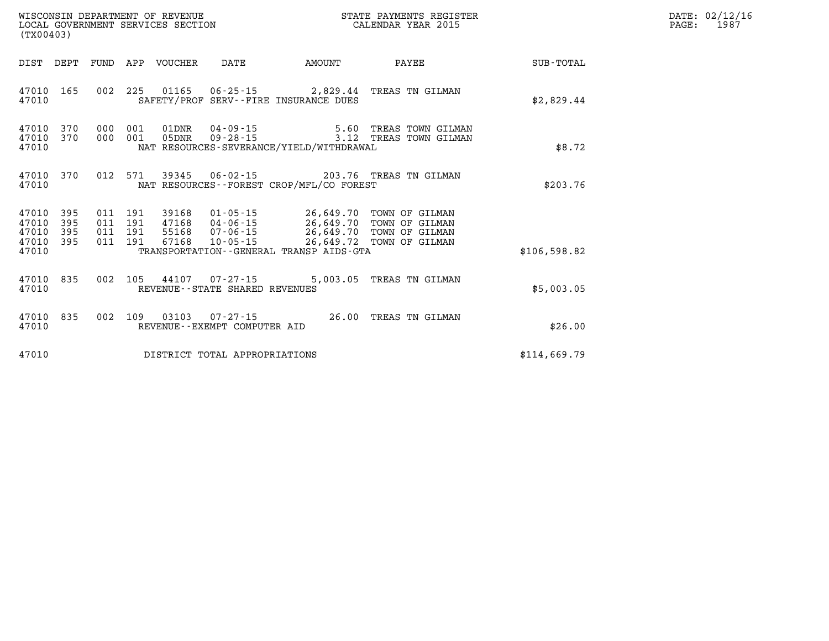| (TX00403)                                                                                                                                                                  |                                                                                                                                                  | STATE PAYMENTS REGISTER                                                |              | DATE: 02/12/16<br>1987<br>$\mathtt{PAGE}$ : |
|----------------------------------------------------------------------------------------------------------------------------------------------------------------------------|--------------------------------------------------------------------------------------------------------------------------------------------------|------------------------------------------------------------------------|--------------|---------------------------------------------|
| DIST DEPT FUND APP VOUCHER DATE                                                                                                                                            | <b>AMOUNT</b>                                                                                                                                    | <b>PAYEE</b>                                                           | SUB-TOTAL    |                                             |
| 002 225 01165 06-25-15 2,829.44 TREAS TN GILMAN<br>47010 165<br>SAFETY/PROF SERV--FIRE INSURANCE DUES<br>47010                                                             |                                                                                                                                                  |                                                                        | \$2,829.44   |                                             |
| 47010 370 000 001 01DNR<br>47010 370 000 001 05DNR<br>47010<br>NAT RESOURCES-SEVERANCE/YIELD/WITHDRAWAL                                                                    |                                                                                                                                                  | 04-09-15   5.60 TREAS TOWN GILMAN<br>09-28-15   3.12 TREAS TOWN GILMAN | \$8.72       |                                             |
| 47010 370 012 571 39345<br>NAT RESOURCES--FOREST CROP/MFL/CO FOREST<br>47010                                                                                               | 06-02-15 203.76 TREAS TN GILMAN                                                                                                                  |                                                                        | \$203.76     |                                             |
| 47010 395 011 191 39168<br>47010 395<br>011 191 47168<br>47010 395<br>011 191 55168<br>47010 395 011 191<br>67168<br>47010<br>TRANSPORTATION - - GENERAL TRANSP AIDS - GTA | 01-05-15 26,649.70 TOWN OF GILMAN<br>04-06-15 26,649.70 TOWN OF GILMAN<br>07-06-15 26,649.70 TOWN OF GILMAN<br>10-05-15 26,649.72 TOWN OF GILMAN |                                                                        | \$106,598.82 |                                             |
| 47010 835<br>002 105 44107 07-27-15 5,003.05 TREAS TN GILMAN<br>47010<br>REVENUE--STATE SHARED REVENUES                                                                    |                                                                                                                                                  |                                                                        | \$5,003.05   |                                             |
| 002 109 03103 07-27-15 26.00 TREAS TN GILMAN<br>47010 835<br>47010<br>REVENUE--EXEMPT COMPUTER AID                                                                         |                                                                                                                                                  |                                                                        | \$26.00      |                                             |
| 47010<br>DISTRICT TOTAL APPROPRIATIONS                                                                                                                                     |                                                                                                                                                  |                                                                        | \$114,669.79 |                                             |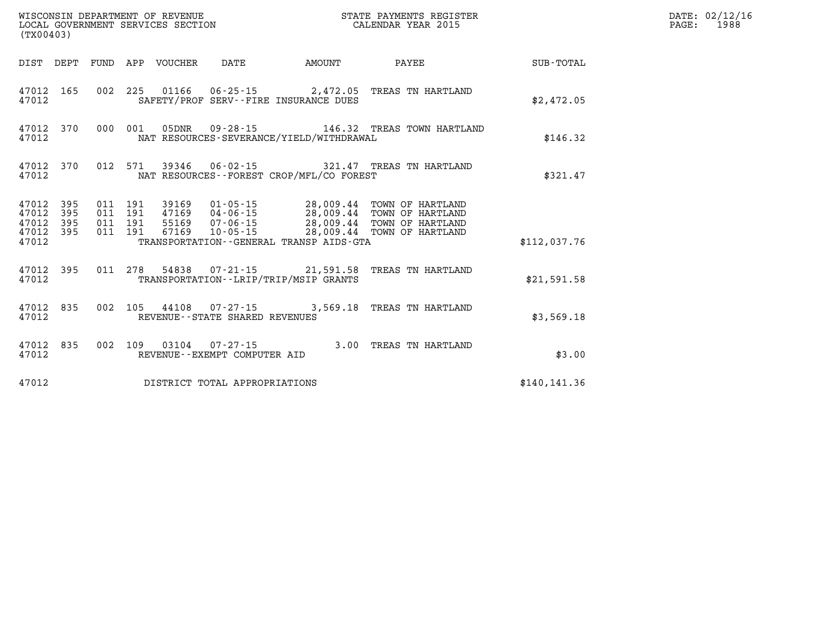| (TX00403) |  |                                 |                                |                                              |                                                                                                                                                                                                                                                                                                                                             |               | DATE: 02/12/16<br>$\mathtt{PAGE:}$<br>1988 |
|-----------|--|---------------------------------|--------------------------------|----------------------------------------------|---------------------------------------------------------------------------------------------------------------------------------------------------------------------------------------------------------------------------------------------------------------------------------------------------------------------------------------------|---------------|--------------------------------------------|
|           |  | DIST DEPT FUND APP VOUCHER DATE |                                |                                              | AMOUNT PAYEE                                                                                                                                                                                                                                                                                                                                | SUB-TOTAL     |                                            |
| 47012     |  |                                 |                                | SAFETY/PROF SERV--FIRE INSURANCE DUES        | 47012 165 002 225 01166 06-25-15 2,472.05 TREAS TN HARTLAND                                                                                                                                                                                                                                                                                 | \$2,472.05    |                                            |
| 47012     |  |                                 |                                | NAT RESOURCES-SEVERANCE/YIELD/WITHDRAWAL     | 47012 370 000 001 05DNR 09-28-15 146.32 TREAS TOWN HARTLAND                                                                                                                                                                                                                                                                                 | \$146.32      |                                            |
| 47012     |  |                                 |                                | NAT RESOURCES - - FOREST CROP/MFL/CO FOREST  | 47012 370 012 571 39346 06-02-15 321.47 TREAS TN HARTLAND                                                                                                                                                                                                                                                                                   | \$321.47      |                                            |
| 47012     |  |                                 |                                | TRANSPORTATION - - GENERAL TRANSP AIDS - GTA | $\begin{array}{cccccc} 47012 & 395 & 011 & 191 & 39169 & 01\cdot 05\cdot 15 & 28\,009\cdot 44 & \textrm{TOWN OF HARTLAND} \\ 47012 & 395 & 011 & 191 & 47169 & 04\cdot 06\cdot 15 & 28\,009\cdot 44 & \textrm{TOWN OF HARTLAND} \\ 47012 & 395 & 011 & 191 & 55169 & 07\cdot 06\cdot 15 & 28\,009\cdot 44 & \textrm{TOWN OF HARTLAND} \\ 4$ | \$112,037.76  |                                            |
| 47012     |  |                                 |                                | TRANSPORTATION - - LRIP/TRIP/MSIP GRANTS     | 47012 395 011 278 54838 07-21-15 21,591.58 TREAS TN HARTLAND                                                                                                                                                                                                                                                                                | \$21,591.58   |                                            |
| 47012     |  |                                 | REVENUE--STATE SHARED REVENUES |                                              | 47012 835 002 105 44108 07-27-15 3,569.18 TREAS TN HARTLAND                                                                                                                                                                                                                                                                                 | \$3,569.18    |                                            |
| 47012     |  |                                 | REVENUE--EXEMPT COMPUTER AID   |                                              | 47012 835 002 109 03104 07-27-15 3.00 TREAS TN HARTLAND                                                                                                                                                                                                                                                                                     | \$3.00        |                                            |
| 47012     |  |                                 | DISTRICT TOTAL APPROPRIATIONS  |                                              |                                                                                                                                                                                                                                                                                                                                             | \$140, 141.36 |                                            |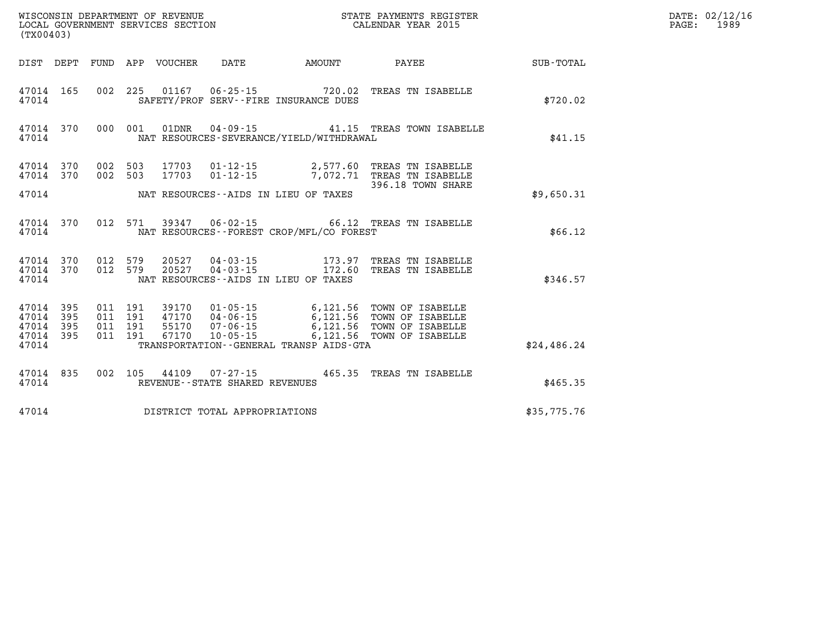| PAGE: | DATE: 02/12/16<br>1989 |
|-------|------------------------|
|       |                        |

| (TX00403)                        |                          |                          |                          | WISCONSIN DEPARTMENT OF REVENUE<br>LOCAL GOVERNMENT SERVICES SECTION |                                                     |                                                                | STATE PAYMENTS REGISTER<br>CALENDAR YEAR 2015                                |                  |
|----------------------------------|--------------------------|--------------------------|--------------------------|----------------------------------------------------------------------|-----------------------------------------------------|----------------------------------------------------------------|------------------------------------------------------------------------------|------------------|
| DIST                             | DEPT                     | FUND                     | APP                      | VOUCHER                                                              | <b>DATE</b>                                         | AMOUNT                                                         | PAYEE                                                                        | <b>SUB-TOTAL</b> |
| 47014<br>47014                   | 165                      | 002                      | 225                      |                                                                      |                                                     | 01167 06-25-15 720.02<br>SAFETY/PROF SERV--FIRE INSURANCE DUES | TREAS TN ISABELLE                                                            | \$720.02         |
| 47014<br>47014                   | 370                      | 000                      | 001                      | 01DNR                                                                | 04 - 09 - 15                                        | NAT RESOURCES-SEVERANCE/YIELD/WITHDRAWAL                       | 41.15 TREAS TOWN ISABELLE                                                    | \$41.15          |
| 47014<br>47014                   | 370<br>370               | 002<br>002               | 503<br>503               | 17703<br>17703                                                       | $01 - 12 - 15$<br>$01 - 12 - 15$                    | 2,577.60<br>7,072.71                                           | TREAS TN ISABELLE<br>TREAS TN ISABELLE<br>396.18 TOWN SHARE                  |                  |
| 47014                            |                          |                          |                          |                                                                      |                                                     | NAT RESOURCES--AIDS IN LIEU OF TAXES                           |                                                                              | \$9,650.31       |
| 47014<br>47014                   | 370                      | 012                      | 571                      |                                                                      |                                                     | NAT RESOURCES -- FOREST CROP/MFL/CO FOREST                     | 39347   06-02-15   66.12   TREAS TN ISABELLE                                 | \$66.12          |
| 47014<br>47014<br>47014          | 370<br>370               | 012<br>012               | 579<br>579               | 20527<br>20527                                                       | 04-03-15<br>$04 - 03 - 15$                          | 173.97<br>172.60<br>NAT RESOURCES -- AIDS IN LIEU OF TAXES     | TREAS TN ISABELLE<br>TREAS TN ISABELLE                                       | \$346.57         |
| 47014<br>47014<br>47014<br>47014 | 395<br>395<br>395<br>395 | 011<br>011<br>011<br>011 | 191<br>191<br>191<br>191 | 39170<br>47170      04-06-15<br>55170      07-06-15<br>67170         | $01 - 05 - 15$<br>$10 - 05 - 15$                    | 6,121.56<br>6,121.56<br>6,121.56<br>6,121.56                   | TOWN OF ISABELLE<br>TOWN OF ISABELLE<br>TOWN OF ISABELLE<br>TOWN OF ISABELLE |                  |
| 47014                            |                          |                          |                          |                                                                      |                                                     | TRANSPORTATION--GENERAL TRANSP AIDS-GTA                        |                                                                              | \$24,486.24      |
| 47014<br>47014                   | 835                      | 002                      | 105                      | 44109                                                                | $07 - 27 - 15$<br>REVENUE - - STATE SHARED REVENUES |                                                                | 465.35 TREAS TN ISABELLE                                                     | \$465.35         |
| 47014                            |                          |                          |                          |                                                                      | DISTRICT TOTAL APPROPRIATIONS                       |                                                                |                                                                              | \$35,775.76      |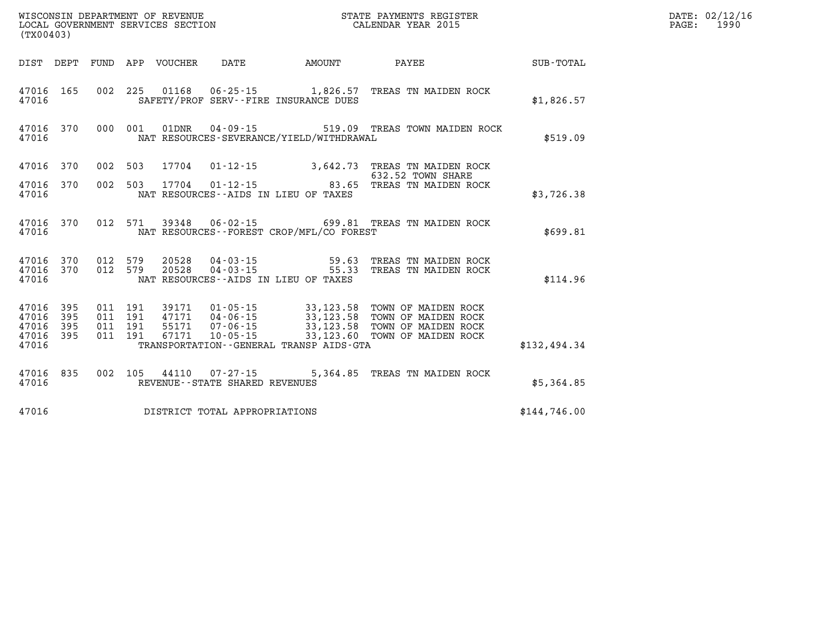| (TX00403)                                                 |         |  |                                |                                              | WISCONSIN DEPARTMENT OF REVENUE<br>LOCAL GOVERNMENT SERVICES SECTION<br>LOCAL GOVERNMENT SERVICES SECTION<br>CALENDAR YEAR 2015                                                                                              |              | DATE: 02/12/16<br>PAGE: 1990 |
|-----------------------------------------------------------|---------|--|--------------------------------|----------------------------------------------|------------------------------------------------------------------------------------------------------------------------------------------------------------------------------------------------------------------------------|--------------|------------------------------|
|                                                           |         |  |                                | DIST DEPT FUND APP VOUCHER DATE AMOUNT       | PAYEE SUB-TOTAL                                                                                                                                                                                                              |              |                              |
| 47016                                                     |         |  |                                | SAFETY/PROF SERV--FIRE INSURANCE DUES        | 47016 165 002 225 01168 06-25-15 1,826.57 TREAS TN MAIDEN ROCK                                                                                                                                                               | \$1,826.57   |                              |
| 47016                                                     |         |  |                                | NAT RESOURCES-SEVERANCE/YIELD/WITHDRAWAL     | 47016 370 000 001 01DNR 04-09-15 519.09 TREAS TOWN MAIDEN ROCK                                                                                                                                                               | \$519.09     |                              |
| 47016 370                                                 |         |  |                                |                                              | 002 503 17704 01-12-15 3,642.73 TREAS TN MAIDEN ROCK<br>632.52 TOWN SHARE                                                                                                                                                    |              |                              |
| 47016 370<br>47016                                        | 002 503 |  |                                | NAT RESOURCES--AIDS IN LIEU OF TAXES         | 632.52 TOWN SHARE<br>17704    01-12-15                                83.65   TREAS TN MAIDEN ROCK                                                                                                                           | \$3,726.38   |                              |
| 47016                                                     |         |  |                                | NAT RESOURCES--FOREST CROP/MFL/CO FOREST     | 47016 370 012 571 39348 06-02-15 699.81 TREAS TN MAIDEN ROCK                                                                                                                                                                 | \$699.81     |                              |
| 47016                                                     |         |  |                                | NAT RESOURCES--AIDS IN LIEU OF TAXES         | $\begin{array}{cccccc} 47016 & 370 & 012 & 579 & 20528 & 04-03-15 & & & & & 59.63 & \text{TREAS TN MAIDEN ROCK} \\ 47016 & 370 & 012 & 579 & 20528 & 04-03-15 & & & & 55.33 & \text{TREAS TN MAIDEN ROCK} \end{array}$       | \$114.96     |                              |
| 47016 395<br>47016 395<br>47016 395<br>47016 395<br>47016 |         |  |                                | TRANSPORTATION - - GENERAL TRANSP AIDS - GTA | 011 191 39171 01-05-15 33,123.58 TOWN OF MAIDEN ROCK<br>011 191 47171 04-06-15 33,123.58 TOWN OF MAIDEN ROCK<br>011 191 55171 07-06-15 33,123.58 TOWN OF MAIDEN ROCK<br>011 191 67171 10-05-15 33,123.60 TOWN OF MAIDEN ROCK | \$132,494.34 |                              |
| 47016                                                     |         |  | REVENUE--STATE SHARED REVENUES |                                              | 47016 835 002 105 44110 07-27-15 5,364.85 TREAS TN MAIDEN ROCK                                                                                                                                                               | \$5,364.85   |                              |
| 47016                                                     |         |  | DISTRICT TOTAL APPROPRIATIONS  |                                              |                                                                                                                                                                                                                              | \$144.746.00 |                              |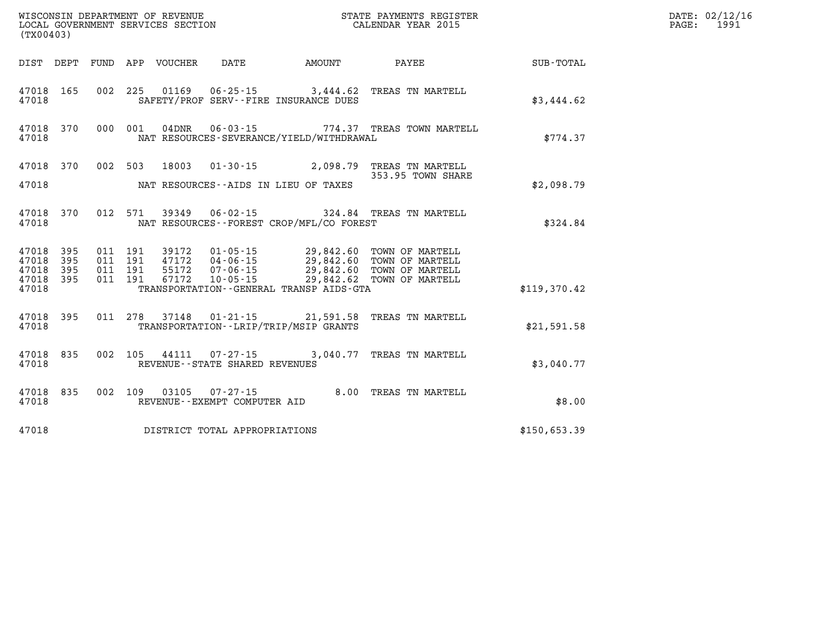| (TX00403)              |  |  |                                       |                                            | WISCONSIN DEPARTMENT OF REVENUE<br>LOCAL GOVERNMENT SERVICES SECTION CALENDAR YEAR 2015                                                                                                                      |              | DATE: 02/12/16<br>PAGE: 1991 |
|------------------------|--|--|---------------------------------------|--------------------------------------------|--------------------------------------------------------------------------------------------------------------------------------------------------------------------------------------------------------------|--------------|------------------------------|
|                        |  |  |                                       |                                            | DIST DEPT FUND APP VOUCHER DATE AMOUNT PAYEE TOTAL                                                                                                                                                           |              |                              |
| 47018                  |  |  |                                       | SAFETY/PROF SERV--FIRE INSURANCE DUES      | 47018 165 002 225 01169 06-25-15 3,444.62 TREAS TN MARTELL                                                                                                                                                   | \$3,444.62   |                              |
| 47018                  |  |  |                                       | NAT RESOURCES-SEVERANCE/YIELD/WITHDRAWAL   | 47018 370 000 001 04DNR 06-03-15 774.37 TREAS TOWN MARTELL                                                                                                                                                   | \$774.37     |                              |
|                        |  |  |                                       |                                            | 47018 370 002 503 18003 01-30-15 2,098.79 TREAS TN MARTELL<br>353.95 TOWN SHARE                                                                                                                              |              |                              |
|                        |  |  |                                       | 47018 MAT RESOURCES--AIDS IN LIEU OF TAXES |                                                                                                                                                                                                              | \$2,098.79   |                              |
| 47018                  |  |  |                                       | NAT RESOURCES--FOREST CROP/MFL/CO FOREST   | 47018 370 012 571 39349 06-02-15 324.84 TREAS TN MARTELL                                                                                                                                                     | \$324.84     |                              |
| 47018 395<br>47018 395 |  |  |                                       |                                            | 011 191 39172 01-05-15 29,842.60 TOWN OF MARTELL<br>011 191 47172 04-06-15 29,842.60 TOWN OF MARTELL<br>011 191 55172 07-06-15 29,842.60 TOWN OF MARTELL<br>011 191 67172 10-05-15 29,842.62 TOWN OF MARTELL |              |                              |
| 47018 395<br>47018 395 |  |  |                                       |                                            |                                                                                                                                                                                                              |              |                              |
| 47018                  |  |  |                                       | TRANSPORTATION--GENERAL TRANSP AIDS-GTA    |                                                                                                                                                                                                              | \$119,370.42 |                              |
| 47018                  |  |  |                                       | TRANSPORTATION--LRIP/TRIP/MSIP GRANTS      | 47018 395 011 278 37148 01-21-15 21,591.58 TREAS TN MARTELL                                                                                                                                                  | \$21,591.58  |                              |
|                        |  |  | 47018 REVENUE - STATE SHARED REVENUES |                                            | 47018 835 002 105 44111 07-27-15 3,040.77 TREAS TN MARTELL                                                                                                                                                   | \$3,040.77   |                              |
| 47018                  |  |  | REVENUE--EXEMPT COMPUTER AID          |                                            | 47018 835 002 109 03105 07-27-15 8.00 TREAS TN MARTELL                                                                                                                                                       | \$8.00       |                              |
| 47018                  |  |  | DISTRICT TOTAL APPROPRIATIONS         |                                            |                                                                                                                                                                                                              | \$150,653.39 |                              |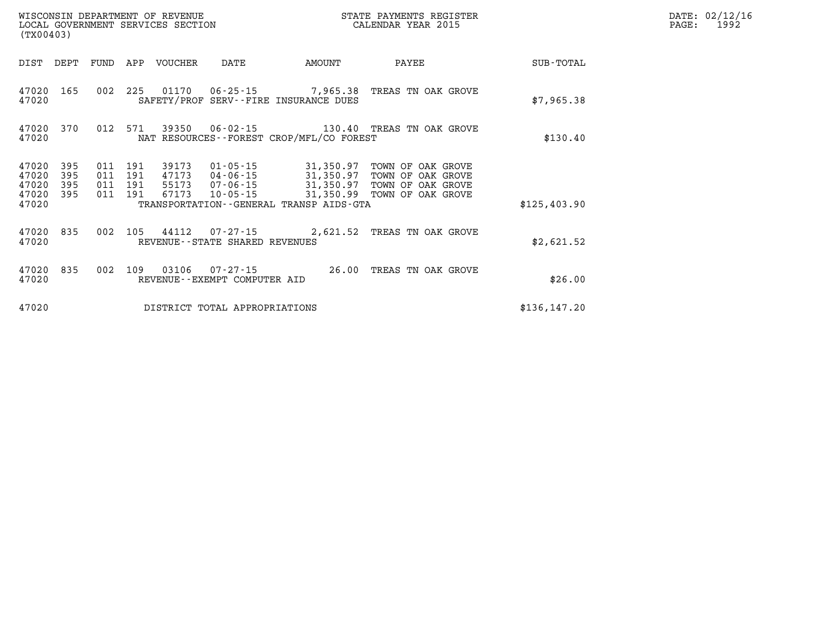| WISCONSIN DEPARTMENT OF REVENUE<br>STATE PAYMENTS REGISTER<br>CALENDAR YEAR 2015<br>LOCAL GOVERNMENT SERVICES SECTION<br>(TX00403) |                          |                          |                          |                                  |                                                    |                                                   |                                                                                  |               |
|------------------------------------------------------------------------------------------------------------------------------------|--------------------------|--------------------------|--------------------------|----------------------------------|----------------------------------------------------|---------------------------------------------------|----------------------------------------------------------------------------------|---------------|
| DIST                                                                                                                               | DEPT                     | FUND                     | APP                      | <b>VOUCHER</b>                   | DATE                                               | AMOUNT                                            | PAYEE                                                                            | SUB-TOTAL     |
| 47020<br>47020                                                                                                                     | 165                      | 002                      | 225                      | 01170                            | 06-25-15                                           | 7,965.38<br>SAFETY/PROF SERV--FIRE INSURANCE DUES | TREAS TN OAK GROVE                                                               | \$7,965.38    |
| 47020<br>47020                                                                                                                     | 370                      | 012                      | 571                      | 39350                            | $06 - 02 - 15$                                     | NAT RESOURCES - - FOREST CROP/MFL/CO FOREST       | 130.40 TREAS TN OAK GROVE                                                        | \$130.40      |
| 47020<br>47020<br>47020<br>47020                                                                                                   | 395<br>395<br>395<br>395 | 011<br>011<br>011<br>011 | 191<br>191<br>191<br>191 | 39173<br>47173<br>55173<br>67173 | 01-05-15<br>04-06-15<br>07-06-15<br>$10 - 05 - 15$ | 31,350.97<br>31,350.97<br>31,350.97<br>31,350.99  | TOWN OF OAK GROVE<br>TOWN OF OAK GROVE<br>TOWN OF OAK GROVE<br>TOWN OF OAK GROVE |               |
| 47020                                                                                                                              |                          |                          |                          |                                  |                                                    | TRANSPORTATION - - GENERAL TRANSP AIDS - GTA      |                                                                                  | \$125,403.90  |
| 47020<br>47020                                                                                                                     | 835                      | 002                      | 105                      | 44112                            | $07 - 27 - 15$<br>REVENUE--STATE SHARED REVENUES   | 2,621.52                                          | TREAS TN OAK GROVE                                                               | \$2,621.52    |
| 47020<br>47020                                                                                                                     | 835                      | 002                      | 109                      | 03106                            | $07 - 27 - 15$<br>REVENUE - - EXEMPT COMPUTER AID  | 26.00                                             | TREAS TN OAK GROVE                                                               | \$26.00       |
| 47020                                                                                                                              |                          |                          |                          |                                  | DISTRICT TOTAL APPROPRIATIONS                      |                                                   |                                                                                  | \$136, 147.20 |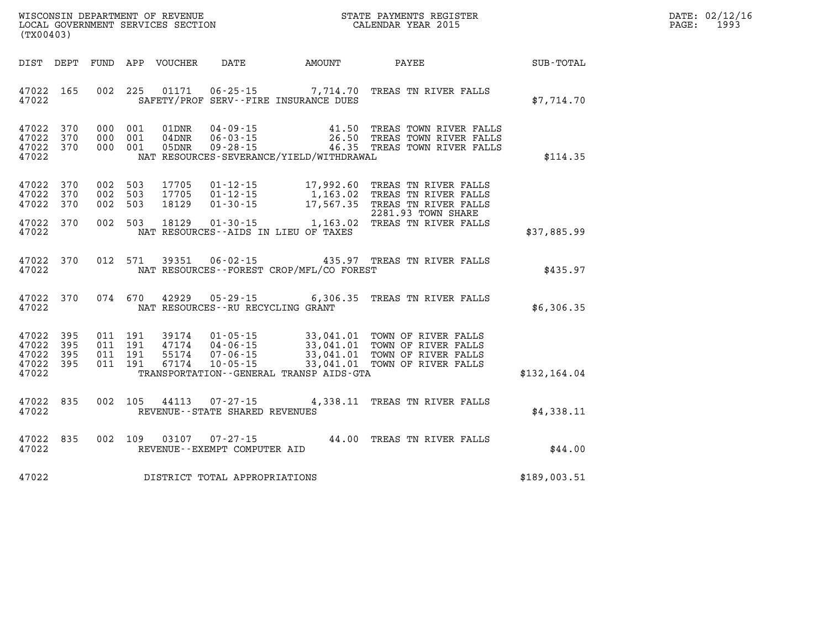| DATE:            | 02/12/16 |
|------------------|----------|
| $\texttt{PAGE:}$ | 1993     |

| (TX00403)                                 |                          |                          |                          |                                  |                                                                      |                                                   |                                                                                                                                  |               |
|-------------------------------------------|--------------------------|--------------------------|--------------------------|----------------------------------|----------------------------------------------------------------------|---------------------------------------------------|----------------------------------------------------------------------------------------------------------------------------------|---------------|
| DIST                                      | DEPT                     | FUND                     |                          | APP VOUCHER                      | DATE                                                                 | AMOUNT                                            | PAYEE                                                                                                                            | SUB-TOTAL     |
| 47022<br>47022                            | 165                      | 002                      | 225                      | 01171                            |                                                                      | SAFETY/PROF SERV--FIRE INSURANCE DUES             | 06-25-15 7,714.70 TREAS TN RIVER FALLS                                                                                           | \$7,714.70    |
| 47022<br>47022<br>47022<br>47022          | 370<br>370<br>370        | 000<br>000<br>000        | 001<br>001<br>001        | 01DNR<br>$04$ DNR<br>05DNR       | $04 - 09 - 15$<br>$06 - 03 - 15$<br>$09 - 28 - 15$                   | 41.50<br>NAT RESOURCES-SEVERANCE/YIELD/WITHDRAWAL | TREAS TOWN RIVER FALLS<br>26.50 TREAS TOWN RIVER FALLS<br>46.35 TREAS TOWN RIVER FALLS                                           | \$114.35      |
| 47022<br>47022<br>47022                   | 370<br>370<br>370        | 002<br>002<br>002        | 503<br>503<br>503        | 17705<br>17705<br>18129          | $01 - 12 - 15$<br>$01 - 12 - 15$<br>$01 - 30 - 15$                   | 17,992.60<br>1,163.02<br>17,567.35                | TREAS TN RIVER FALLS<br>TREAS TN RIVER FALLS<br>TREAS TN RIVER FALLS<br>2281.93 TOWN SHARE                                       |               |
| 47022<br>47022                            | 370                      | 002                      | 503                      | 18129                            | $01 - 30 - 15$                                                       | NAT RESOURCES -- AIDS IN LIEU OF TAXES            | 1,163.02 TREAS TN RIVER FALLS                                                                                                    | \$37,885.99   |
| 47022<br>47022                            | 370                      | 012                      | 571                      | 39351                            | $06 - 02 - 15$                                                       | NAT RESOURCES - - FOREST CROP/MFL/CO FOREST       | 435.97 TREAS TN RIVER FALLS                                                                                                      | \$435.97      |
| 47022<br>47022                            | 370                      |                          | 074 670                  | 42929                            | $05 - 29 - 15$<br>NAT RESOURCES - - RU RECYCLING GRANT               | 6,306.35                                          | TREAS TN RIVER FALLS                                                                                                             | \$6,306.35    |
| 47022<br>47022<br>47022<br>47022<br>47022 | 395<br>395<br>395<br>395 | 011<br>011<br>011<br>011 | 191<br>191<br>191<br>191 | 39174<br>47174<br>55174<br>67174 | $01 - 05 - 15$<br>$04 - 06 - 15$<br>$07 - 06 - 15$<br>$10 - 05 - 15$ | TRANSPORTATION -- GENERAL TRANSP AIDS-GTA         | 33,041.01 TOWN OF RIVER FALLS<br>33,041.01 TOWN OF RIVER FALLS<br>33,041.01 TOWN OF RIVER FALLS<br>33,041.01 TOWN OF RIVER FALLS | \$132, 164.04 |
| 47022<br>47022                            | 835                      | 002                      | 105                      | 44113                            | $07 - 27 - 15$<br>REVENUE - - STATE SHARED REVENUES                  | 4,338.11                                          | TREAS TN RIVER FALLS                                                                                                             | \$4,338.11    |
| 47022<br>47022                            | 835                      | 002                      | 109                      | 03107                            | $07 - 27 - 15$<br>REVENUE--EXEMPT COMPUTER AID                       | 44.00                                             | TREAS TN RIVER FALLS                                                                                                             | \$44.00       |
| 47022                                     |                          |                          |                          |                                  | DISTRICT TOTAL APPROPRIATIONS                                        |                                                   |                                                                                                                                  | \$189,003.51  |

WISCONSIN DEPARTMENT OF REVENUE **STATE PAYMENTS REGISTER**<br>LOCAL GOVERNMENT SERVICES SECTION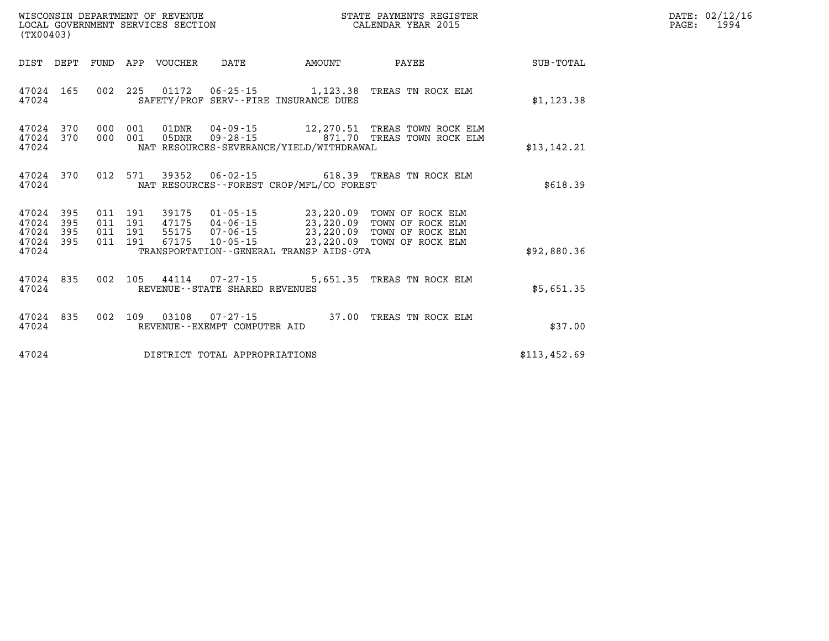| (TX00403)                              |  |  |  |                                                    |                                       |                                                  | STATE PAYMENTS REGISTER<br>CALENDAR YEAR 2015                                                                                                                                                |              | DATE: 02/12/16<br>$\mathtt{PAGE}$ :<br>1994 |
|----------------------------------------|--|--|--|----------------------------------------------------|---------------------------------------|--------------------------------------------------|----------------------------------------------------------------------------------------------------------------------------------------------------------------------------------------------|--------------|---------------------------------------------|
|                                        |  |  |  |                                                    |                                       | DIST DEPT FUND APP VOUCHER DATE AMOUNT           | PAYEE SUB-TOTAL                                                                                                                                                                              |              |                                             |
| 47024                                  |  |  |  |                                                    |                                       | SAFETY/PROF SERV--FIRE INSURANCE DUES            | 47024 165 002 225 01172 06-25-15 1,123.38 TREAS TN ROCK ELM                                                                                                                                  | \$1,123.38   |                                             |
|                                        |  |  |  |                                                    |                                       | 47024 NAT RESOURCES-SEVERANCE/YIELD/WITHDRAWAL   | 47024 370 000 001 01DNR 04-09-15 12,270.51 TREAS TOWN ROCK ELM 47024 370 000 001 05DNR 09-28-15 871.70 TREAS TOWN ROCK ELM                                                                   | \$13, 142.21 |                                             |
|                                        |  |  |  |                                                    |                                       | 47024 NAT RESOURCES--FOREST CROP/MFL/CO FOREST   | 47024 370 012 571 39352 06-02-15 618.39 TREAS TN ROCK ELM                                                                                                                                    | \$618.39     |                                             |
| 47024 395 011 191<br>47024 395 011 191 |  |  |  | 47024 395 011 191 39175<br>47024 395 011 191 47175 |                                       |                                                  | 39175  01-05-15  23,220.09  TOWN OF ROCK ELM<br>47175  04-06-15  23,220.09  TOWN OF ROCK ELM<br>55175  07-06-15  23,220.09  TOWN OF ROCK ELM<br>67175  10-05-15  23,220.09  TOWN OF ROCK ELM |              |                                             |
|                                        |  |  |  |                                                    |                                       | 47024 TRANSPORTATION - GENERAL TRANSP AIDS - GTA |                                                                                                                                                                                              | \$92,880.36  |                                             |
|                                        |  |  |  |                                                    | 47024 REVENUE - STATE SHARED REVENUES |                                                  | 47024 835 002 105 44114 07-27-15 5,651.35 TREAS TN ROCK ELM                                                                                                                                  | \$5,651.35   |                                             |
|                                        |  |  |  |                                                    | 47024 REVENUE - - EXEMPT COMPUTER AID |                                                  | 47024 835 002 109 03108 07-27-15 37.00 TREAS TN ROCK ELM                                                                                                                                     | \$37.00      |                                             |
| 47024                                  |  |  |  |                                                    | DISTRICT TOTAL APPROPRIATIONS         |                                                  |                                                                                                                                                                                              | \$113,452.69 |                                             |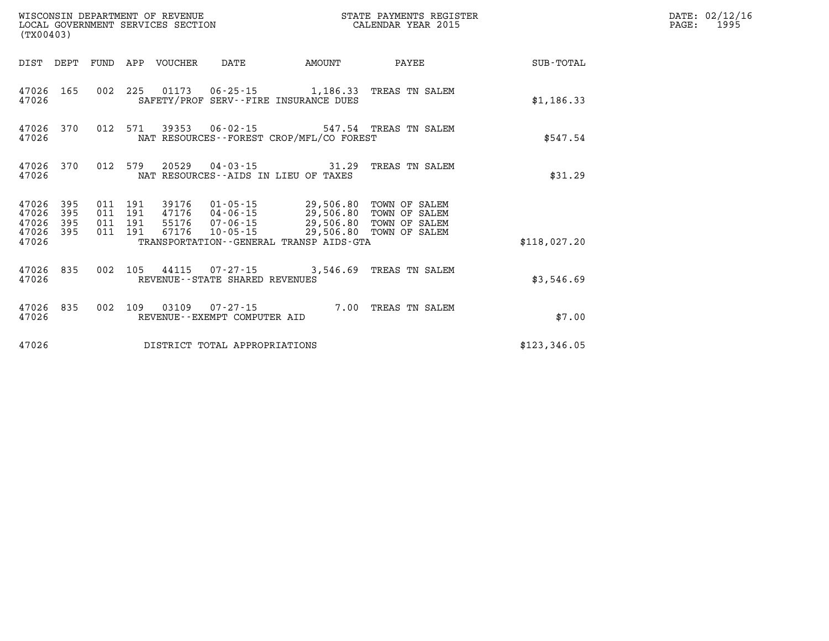| WISCONSIN DEPARTMENT OF REVENUE<br>LOCAL GOVERNMENT SERVICES SECTION CALENDAR YEAR 2015<br>(TX00403) |                   |                    |         |                            |                                |                                                                                                                                                  | STATE PAYMENTS REGISTER        |              | DATE: 02/12/16<br>PAGE:<br>1995 |
|------------------------------------------------------------------------------------------------------|-------------------|--------------------|---------|----------------------------|--------------------------------|--------------------------------------------------------------------------------------------------------------------------------------------------|--------------------------------|--------------|---------------------------------|
|                                                                                                      |                   |                    |         | DIST DEPT FUND APP VOUCHER | DATE                           | <b>AMOUNT</b>                                                                                                                                    | PAYEE                          | SUB-TOTAL    |                                 |
| 47026 165<br>47026                                                                                   |                   |                    |         |                            |                                | 002 225 01173 06-25-15 1,186.33 TREAS TN SALEM<br>SAFETY/PROF SERV--FIRE INSURANCE DUES                                                          |                                | \$1,186.33   |                                 |
| 47026 370<br>47026                                                                                   |                   | 012 571            |         |                            |                                | 39353  06-02-15  547.54  TREAS TN SALEM<br>NAT RESOURCES--FOREST CROP/MFL/CO FOREST                                                              |                                | \$547.54     |                                 |
| 47026 370<br>47026                                                                                   |                   | 012 579            |         |                            |                                | 20529  04-03-15    31.29<br>NAT RESOURCES--AIDS IN LIEU OF TAXES                                                                                 | TREAS TN SALEM                 | \$31.29      |                                 |
| 47026<br>47026<br>47026                                                                              | 395<br>395<br>395 | 011 191<br>011 191 | 011 191 |                            |                                | 39176  01-05-15  29,506.80 TOWN OF SALEM<br>47176  04-06-15  29,506.80<br>55176  07-06-15  29,506.80<br>67176  10-05-15  29,506.80 TOWN OF SALEM | TOWN OF SALEM<br>TOWN OF SALEM |              |                                 |
| 47026 395<br>47026                                                                                   |                   | 011 191            |         |                            |                                | TRANSPORTATION - - GENERAL TRANSP AIDS-GTA                                                                                                       |                                | \$118,027.20 |                                 |
| 47026                                                                                                | 47026 835         |                    |         |                            | REVENUE--STATE SHARED REVENUES | 002 105 44115 07-27-15 3,546.69 TREAS TN SALEM                                                                                                   |                                | \$3,546.69   |                                 |
| 47026                                                                                                | 47026 835         |                    |         |                            | REVENUE--EXEMPT COMPUTER AID   | 002 109 03109 07-27-15 7.00 TREAS TN SALEM                                                                                                       |                                | \$7.00       |                                 |
| 47026                                                                                                |                   |                    |         |                            | DISTRICT TOTAL APPROPRIATIONS  |                                                                                                                                                  |                                | \$123,346.05 |                                 |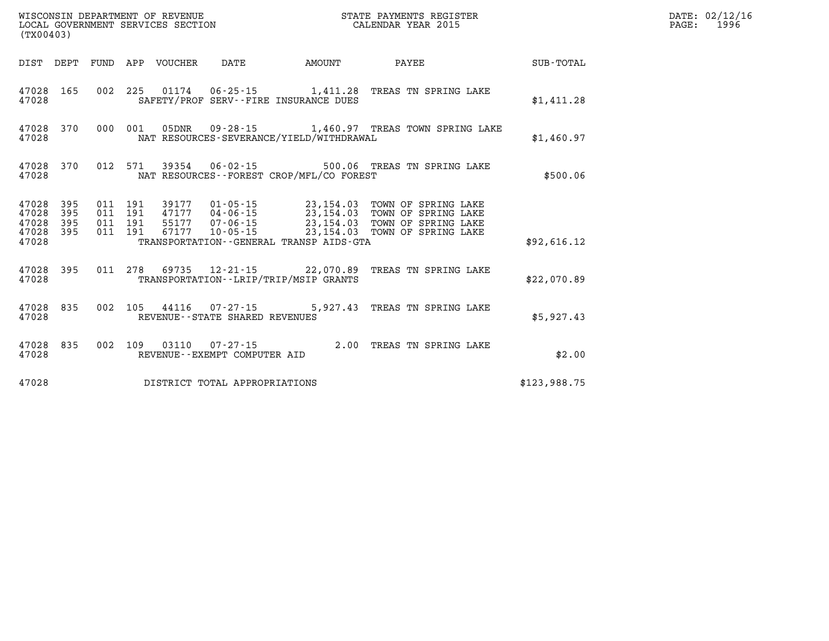| (TX00403)                                     |                   |                          |                          | WISCONSIN DEPARTMENT OF REVENUE<br>LOCAL GOVERNMENT SERVICES SECTION |                                                 |                                                                          | STATE PAYMENTS REGISTER<br>CALENDAR YEAR 2015                          |              |
|-----------------------------------------------|-------------------|--------------------------|--------------------------|----------------------------------------------------------------------|-------------------------------------------------|--------------------------------------------------------------------------|------------------------------------------------------------------------|--------------|
| DIST                                          | DEPT              | FUND                     | APP                      | VOUCHER                                                              | DATE                                            | AMOUNT                                                                   | PAYEE                                                                  | SUB-TOTAL    |
| 47028<br>47028                                | 165               | 002                      | 225                      |                                                                      |                                                 | SAFETY/PROF SERV--FIRE INSURANCE DUES                                    | 01174   06-25-15   1,411.28   TREAS TN SPRING LAKE                     | \$1,411.28   |
| 47028<br>47028                                | 370               | 000                      | 001                      | 05DNR                                                                |                                                 | NAT RESOURCES-SEVERANCE/YIELD/WITHDRAWAL                                 | 09-28-15 1,460.97 TREAS TOWN SPRING LAKE                               | \$1,460.97   |
| 47028<br>47028                                | 370               | 012                      |                          |                                                                      |                                                 | NAT RESOURCES--FOREST CROP/MFL/CO FOREST                                 | 571 39354 06-02-15 500.06 TREAS TN SPRING LAKE                         | \$500.06     |
| 47028<br>47028<br>47028<br>47028 395<br>47028 | 395<br>395<br>395 | 011<br>011<br>011<br>011 | 191<br>191<br>191<br>191 |                                                                      |                                                 | 47177 04-06-15 23,154.03<br>TRANSPORTATION - - GENERAL TRANSP AIDS - GTA | 39177  01-05-15  23,154.03  TOWN OF SPRING LAKE<br>TOWN OF SPRING LAKE | \$92,616.12  |
| 47028<br>47028                                | 395               |                          | 011 278                  | 69735                                                                |                                                 | $12 - 21 - 15$ 22,070.89<br>TRANSPORTATION - - LRIP/TRIP/MSIP GRANTS     | TREAS TN SPRING LAKE                                                   | \$22.070.89  |
| 47028<br>47028                                | 835               | 002                      | 105                      |                                                                      | REVENUE - - STATE SHARED REVENUES               |                                                                          | 44116 07-27-15 5,927.43 TREAS TN SPRING LAKE                           | \$5,927.43   |
| 47028<br>47028                                | 835               | 002                      | 109                      |                                                                      | 03110  07-27-15<br>REVENUE--EXEMPT COMPUTER AID | 2.00                                                                     | TREAS TN SPRING LAKE                                                   | \$2.00       |
| 47028                                         |                   |                          |                          |                                                                      | DISTRICT TOTAL APPROPRIATIONS                   |                                                                          |                                                                        | \$123,988.75 |

**DATE: 02/12/16<br>PAGE: 1996**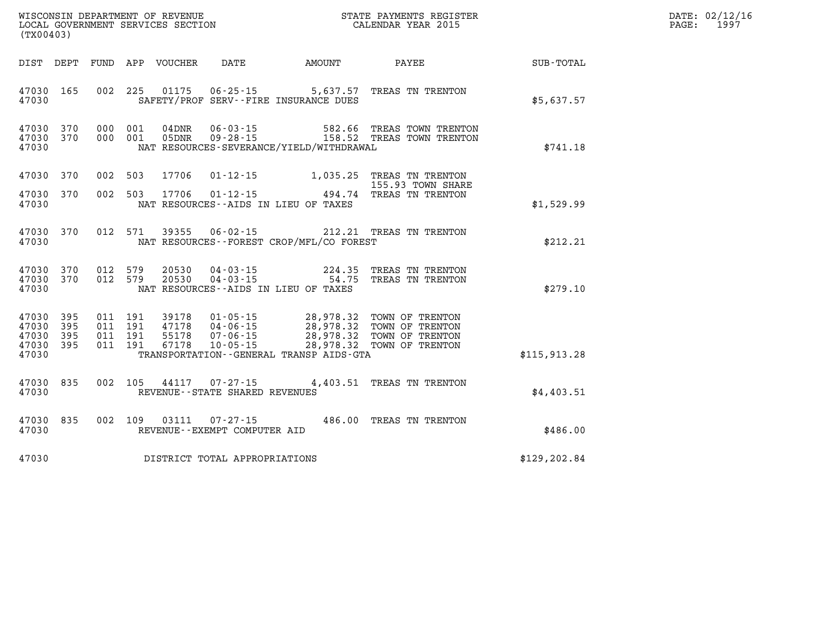| PAGE: | DATE: 02/12/16<br>1997 |
|-------|------------------------|
|       |                        |

| (TX00403)                                 |                          |                          |                          |                                  |                                                                      |                                                                                             |                                                                          |                  |
|-------------------------------------------|--------------------------|--------------------------|--------------------------|----------------------------------|----------------------------------------------------------------------|---------------------------------------------------------------------------------------------|--------------------------------------------------------------------------|------------------|
| DIST                                      | DEPT                     | FUND                     | APP                      | VOUCHER                          | DATE                                                                 | AMOUNT                                                                                      | PAYEE                                                                    | <b>SUB-TOTAL</b> |
| 47030<br>47030                            | 165                      | 002                      | 225                      | 01175                            |                                                                      | $06 - 25 - 15$ 5,637.57<br>SAFETY/PROF SERV--FIRE INSURANCE DUES                            | TREAS TN TRENTON                                                         | \$5,637.57       |
| 47030<br>47030<br>47030                   | 370<br>370               | 000<br>000               | 001<br>001               | 04DNR<br>05DNR                   | $06 - 03 - 15$<br>$09 - 28 - 15$                                     | 582.66<br>158.52<br>NAT RESOURCES-SEVERANCE/YIELD/WITHDRAWAL                                | TREAS TOWN TRENTON<br>TREAS TOWN TRENTON                                 | \$741.18         |
| 47030                                     | 370                      | 002                      | 503                      | 17706                            | $01 - 12 - 15$                                                       | 1,035.25                                                                                    | TREAS TN TRENTON<br>155.93 TOWN SHARE                                    |                  |
| 47030<br>47030                            | 370                      | 002                      | 503                      | 17706                            |                                                                      | $01 - 12 - 15$ 494.74<br>NAT RESOURCES--AIDS IN LIEU OF TAXES                               | TREAS TN TRENTON                                                         | \$1,529.99       |
| 47030<br>47030                            | 370                      | 012                      | 571                      | 39355                            | $06 - 02 - 15$                                                       | NAT RESOURCES - - FOREST CROP/MFL/CO FOREST                                                 | 212.21 TREAS TN TRENTON                                                  | \$212.21         |
| 47030<br>47030<br>47030                   | 370<br>370               | 012<br>012               | 579<br>579               | 20530<br>20530                   |                                                                      | $04 - 03 - 15$<br>$04 - 03 - 15$<br>$54 - 75$<br>NAT RESOURCES -- AIDS IN LIEU OF TAXES     | TREAS TN TRENTON<br>TREAS TN TRENTON                                     | \$279.10         |
| 47030<br>47030<br>47030<br>47030<br>47030 | 395<br>395<br>395<br>395 | 011<br>011<br>011<br>011 | 191<br>191<br>191<br>191 | 39178<br>47178<br>55178<br>67178 | $01 - 05 - 15$<br>$04 - 06 - 15$<br>$07 - 06 - 15$<br>$10 - 05 - 15$ | 28,978.32<br>28,978.32<br>28,978.32<br>28,978.32<br>TRANSPORTATION--GENERAL TRANSP AIDS-GTA | TOWN OF TRENTON<br>TOWN OF TRENTON<br>TOWN OF TRENTON<br>TOWN OF TRENTON | \$115, 913.28    |
| 47030<br>47030                            | 835                      | 002                      | 105                      | 44117                            | 07-27-15<br>REVENUE - - STATE SHARED REVENUES                        | 4,403.51                                                                                    | TREAS TN TRENTON                                                         | \$4,403.51       |
| 47030<br>47030                            | 835                      | 002                      | 109                      | 03111                            | $07 - 27 - 15$<br>REVENUE--EXEMPT COMPUTER AID                       | 486.00                                                                                      | TREAS TN TRENTON                                                         | \$486.00         |
| 47030                                     |                          |                          |                          |                                  | DISTRICT TOTAL APPROPRIATIONS                                        |                                                                                             |                                                                          | \$129, 202.84    |

WISCONSIN DEPARTMENT OF REVENUE **STATE PAYMENTS REGISTER**<br>LOCAL GOVERNMENT SERVICES SECTION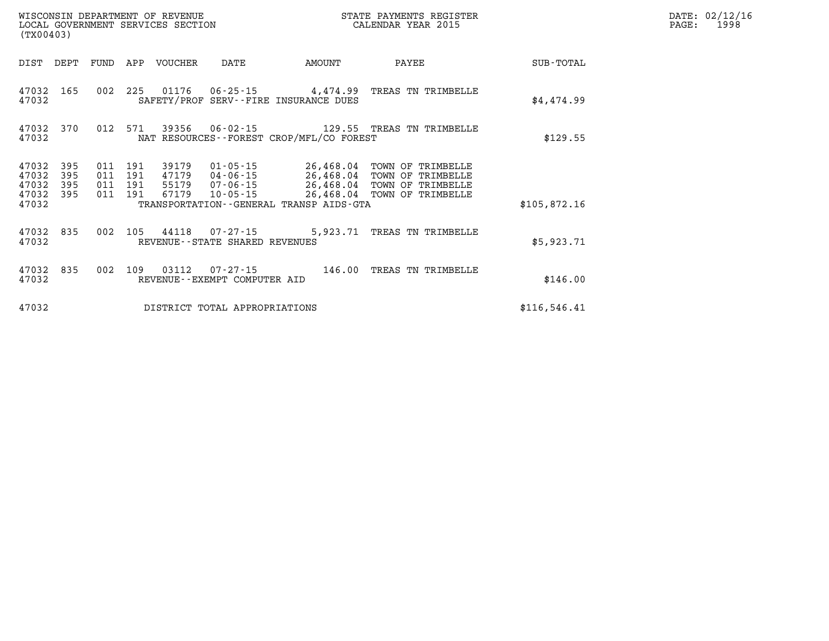|                         | WISCONSIN DEPARTMENT OF REVENUE<br>STATE PAYMENTS REGISTER<br>CALENDAR YEAR 2015<br>LOCAL GOVERNMENT SERVICES SECTION<br>(TX00403) |            |            |                |                                                     |                                                                        |                                        |               |
|-------------------------|------------------------------------------------------------------------------------------------------------------------------------|------------|------------|----------------|-----------------------------------------------------|------------------------------------------------------------------------|----------------------------------------|---------------|
| DIST                    | DEPT                                                                                                                               | FUND       | APP        | <b>VOUCHER</b> | DATE                                                | AMOUNT                                                                 | PAYEE                                  | SUB-TOTAL     |
| 47032<br>47032          | 165                                                                                                                                | 002        | 225        | 01176          | 06-25-15                                            | 4,474.99<br>SAFETY/PROF SERV--FIRE INSURANCE DUES                      | TREAS TN TRIMBELLE                     | \$4,474.99    |
| 47032<br>47032          | 370                                                                                                                                | 012        | 571        | 39356          | $06 - 02 - 15$                                      | NAT RESOURCES - - FOREST CROP/MFL/CO FOREST                            | 129.55 TREAS TN TRIMBELLE              | \$129.55      |
| 47032<br>47032          | 395<br>395                                                                                                                         | 011<br>011 | 191<br>191 | 39179<br>47179 | 01-05-15<br>04-06-15                                | 26,468.04<br>26,468.04                                                 | TOWN OF TRIMBELLE<br>TOWN OF TRIMBELLE |               |
| 47032<br>47032<br>47032 | 395<br>395                                                                                                                         | 011<br>011 | 191<br>191 | 55179<br>67179 | 07-06-15<br>$10 - 05 - 15$                          | 26,468.04<br>26,468.04<br>TRANSPORTATION - - GENERAL TRANSP AIDS - GTA | TOWN OF TRIMBELLE<br>TOWN OF TRIMBELLE | \$105,872.16  |
| 47032<br>47032          | 835                                                                                                                                | 002        | 105        | 44118          | $07 - 27 - 15$<br>REVENUE - - STATE SHARED REVENUES | 5,923.71                                                               | TREAS TN TRIMBELLE                     | \$5,923.71    |
| 47032<br>47032          | 835                                                                                                                                | 002        | 109        | 03112          | $07 - 27 - 15$<br>REVENUE - - EXEMPT COMPUTER AID   | 146.00                                                                 | TREAS TN TRIMBELLE                     | \$146.00      |
| 47032                   |                                                                                                                                    |            |            |                | DISTRICT TOTAL APPROPRIATIONS                       |                                                                        |                                        | \$116, 546.41 |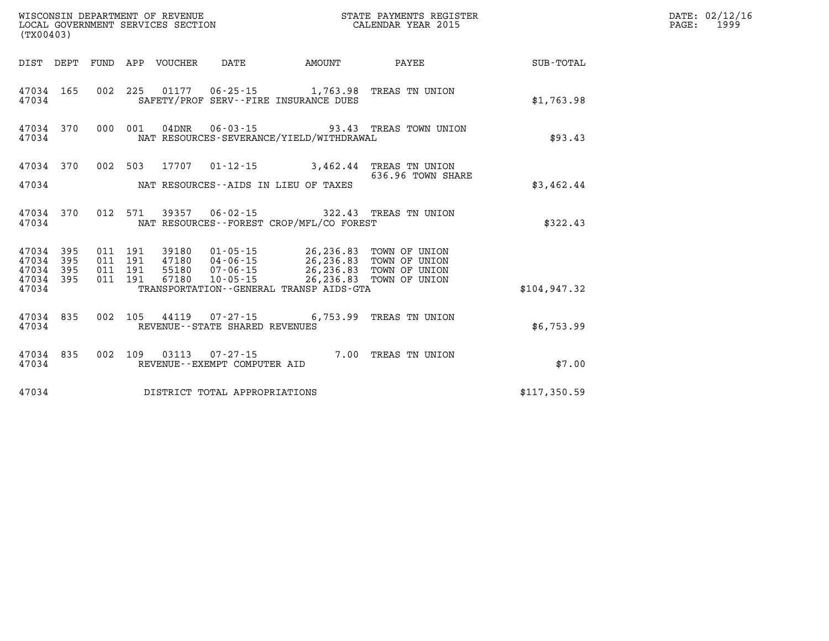| (TX00403) |                                     |         |                                 | WISCONSIN DEPARTMENT OF REVENUE<br>LOCAL GOVERNMENT SERVICES SECTION                   |                                                                                                                                                                                                      | STATE PAYMENTS REGISTER<br>CALENDAR YEAR 2015            |               | DATE: 02/12/16<br>1999<br>$\mathtt{PAGE}$ : |
|-----------|-------------------------------------|---------|---------------------------------|----------------------------------------------------------------------------------------|------------------------------------------------------------------------------------------------------------------------------------------------------------------------------------------------------|----------------------------------------------------------|---------------|---------------------------------------------|
|           |                                     |         | DIST DEPT FUND APP VOUCHER DATE |                                                                                        | <b>EXAMPLE TO AMOUNT</b>                                                                                                                                                                             | PAYEE                                                    | SUB-TOTAL     |                                             |
| 47034     |                                     |         |                                 |                                                                                        | SAFETY/PROF SERV--FIRE INSURANCE DUES                                                                                                                                                                | 47034 165 002 225 01177 06-25-15 1,763.98 TREAS TN UNION | \$1,763.98    |                                             |
| 47034     | 47034 370                           |         |                                 |                                                                                        | 000 001 04DNR 06-03-15 93.43 TREAS TOWN UNION<br>NAT RESOURCES-SEVERANCE/YIELD/WITHDRAWAL                                                                                                            | \$93.43                                                  |               |                                             |
| 47034     | 47034 370                           |         |                                 | 002 503 17707 01-12-15 3,462.44 TREAS TN UNION<br>NAT RESOURCES--AIDS IN LIEU OF TAXES | \$3,462.44                                                                                                                                                                                           |                                                          |               |                                             |
| 47034     | 47034 370                           |         |                                 |                                                                                        | 012 571 39357 06-02-15 322.43 TREAS TN UNION<br>NAT RESOURCES - - FOREST CROP/MFL/CO FOREST                                                                                                          |                                                          | \$322.43      |                                             |
| 47034 395 | 47034 395<br>47034 395<br>47034 395 | 011 191 |                                 |                                                                                        | 011 191 39180 01-05-15 26,236.83 TOWN OF UNION<br>011 191 47180 04-06-15 26,236.83 TOWN OF UNION<br>011 191 55180 07-06-15 26,236.83 TOWN OF UNION<br>011 191 67180 10-05-15 26,236.83 TOWN OF UNION |                                                          |               |                                             |
| 47034     |                                     |         |                                 |                                                                                        | TRANSPORTATION--GENERAL TRANSP AIDS-GTA                                                                                                                                                              |                                                          | \$104, 947.32 |                                             |
| 47034     | 47034 835                           |         |                                 | REVENUE - - STATE SHARED REVENUES                                                      | 002 105 44119 07-27-15 6,753.99 TREAS TN UNION                                                                                                                                                       |                                                          | \$6,753.99    |                                             |
| 47034     | 47034 835                           |         |                                 | REVENUE--EXEMPT COMPUTER AID                                                           |                                                                                                                                                                                                      | 002 109 03113 07-27-15 7.00 TREAS TN UNION               | \$7.00        |                                             |
| 47034     |                                     |         |                                 | DISTRICT TOTAL APPROPRIATIONS                                                          |                                                                                                                                                                                                      |                                                          | \$117,350.59  |                                             |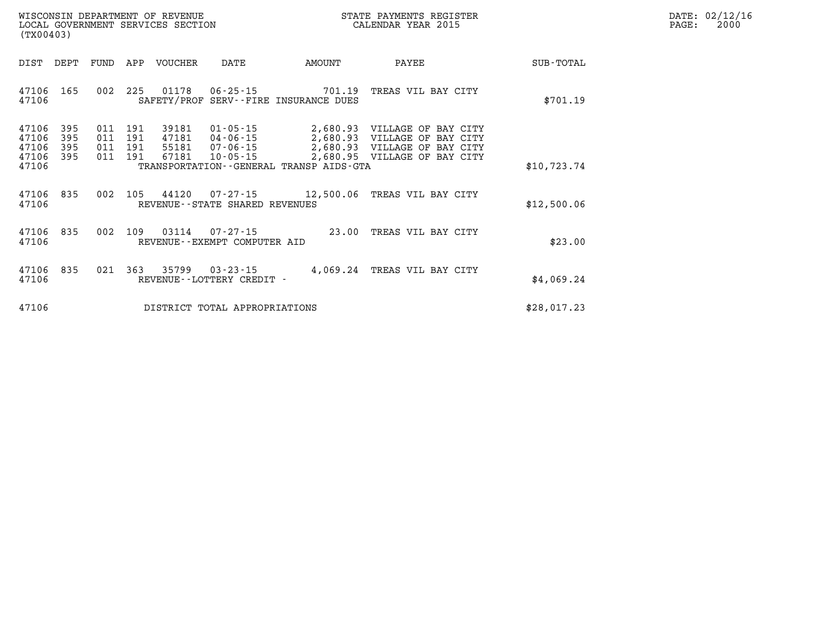| $\mathtt{DATE}$ : | 02/12/16 |
|-------------------|----------|
| PAGE:             | 2000     |

| (TX00403)               |                   |                   |                   | WISCONSIN DEPARTMENT OF REVENUE<br>LOCAL GOVERNMENT SERVICES SECTION |                                                    | STATE PAYMENTS REGISTER<br>CALENDAR YEAR 2015       |                                                                         |             |
|-------------------------|-------------------|-------------------|-------------------|----------------------------------------------------------------------|----------------------------------------------------|-----------------------------------------------------|-------------------------------------------------------------------------|-------------|
| DIST                    | DEPT              | FUND              | APP               | VOUCHER                                                              | DATE                                               | AMOUNT                                              | PAYEE                                                                   | SUB-TOTAL   |
| 47106<br>47106          | 165               | 002               | 225               | 01178                                                                | $06 - 25 - 15$                                     | 701.19<br>SAFETY/PROF SERV--FIRE INSURANCE DUES     | TREAS VIL BAY CITY                                                      | \$701.19    |
| 47106<br>47106<br>47106 | 395<br>395<br>395 | 011<br>011<br>011 | 191<br>191<br>191 | 39181<br>47181<br>55181                                              | $01 - 05 - 15$<br>$04 - 06 - 15$<br>$07 - 06 - 15$ | 2,680.93<br>2,680.93<br>2,680.93                    | VILLAGE OF BAY CITY<br>VILLAGE OF<br>BAY CITY<br>VILLAGE OF<br>BAY CITY |             |
| 47106<br>47106          | 395               | 011               | 191               | 67181                                                                | $10 - 05 - 15$                                     | 2,680.95<br>TRANSPORTATION--GENERAL TRANSP AIDS-GTA | VILLAGE OF BAY CITY                                                     | \$10.723.74 |
| 47106<br>47106          | 835               | 002               | 105               | 44120                                                                | 07-27-15<br>REVENUE--STATE SHARED REVENUES         | 12,500.06                                           | TREAS VIL BAY CITY                                                      | \$12,500.06 |
| 47106<br>47106          | 835               | 002               | 109               | 03114                                                                | $07 - 27 - 15$<br>REVENUE - - EXEMPT COMPUTER AID  | 23.00                                               | TREAS VIL BAY CITY                                                      | \$23.00     |
| 47106<br>47106          | 835               | 021               | 363               | 35799                                                                | $03 - 23 - 15$<br>REVENUE - - LOTTERY CREDIT -     | 4,069.24                                            | TREAS VIL BAY CITY                                                      | \$4,069.24  |
| 47106                   |                   |                   |                   |                                                                      | DISTRICT TOTAL APPROPRIATIONS                      |                                                     |                                                                         | \$28,017.23 |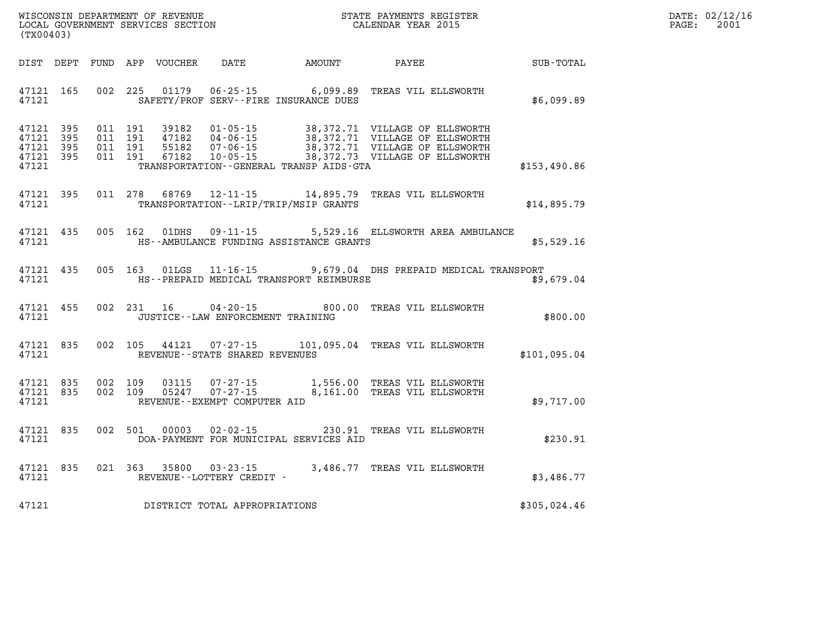| DATE: | 02/12/16 |
|-------|----------|
| PAGE: | 2001     |

| WISCONSIN DEPARTMENT OF REVENUE<br>(TX00403)                                               | LOCAL GOVERNMENT SERVICES SECTION                                                                                                                                                        | STATE PAYMENTS REGISTER<br>CALENDAR YEAR 2015 |                                                                                                                            |              |
|--------------------------------------------------------------------------------------------|------------------------------------------------------------------------------------------------------------------------------------------------------------------------------------------|-----------------------------------------------|----------------------------------------------------------------------------------------------------------------------------|--------------|
| DIST<br>DEPT<br>FUND                                                                       | APP<br>DATE<br>VOUCHER                                                                                                                                                                   | AMOUNT                                        | PAYEE                                                                                                                      | SUB-TOTAL    |
| 165<br>002<br>47121<br>47121                                                               | 225<br>01179<br>$06 - 25 - 15$ 6,099.89<br>SAFETY/PROF SERV--FIRE INSURANCE DUES                                                                                                         |                                               | TREAS VIL ELLSWORTH                                                                                                        | \$6,099.89   |
| 47121<br>395<br>47121<br>395<br>011<br>47121<br>395<br>011<br>47121<br>395<br>011<br>47121 | 011 191<br>39182<br>$01 - 05 - 15$<br>191<br>47182<br>$04 - 06 - 15$<br>191<br>55182<br>$07 - 06 - 15$<br>191<br>67182<br>$10 - 05 - 15$<br>TRANSPORTATION - - GENERAL TRANSP AIDS - GTA | 38,372.71                                     | 38,372.71 VILLAGE OF ELLSWORTH<br>VILLAGE OF ELLSWORTH<br>38,372.71 VILLAGE OF ELLSWORTH<br>38,372.73 VILLAGE OF ELLSWORTH | \$153,490.86 |
| 47121<br>395<br>47121                                                                      | 011 278<br>68769<br>$12 - 11 - 15$<br>TRANSPORTATION - - LRIP/TRIP/MSIP GRANTS                                                                                                           | 14,895.79                                     | TREAS VIL ELLSWORTH                                                                                                        | \$14,895.79  |
| 005<br>47121<br>435<br>47121                                                               | 162<br>01DHS<br>HS--AMBULANCE FUNDING ASSISTANCE GRANTS                                                                                                                                  |                                               | 09-11-15 5,529.16 ELLSWORTH AREA AMBULANCE                                                                                 | \$5,529.16   |
| 47121<br>435<br>005<br>47121                                                               | 163<br>01LGS<br>HS--PREPAID MEDICAL TRANSPORT REIMBURSE                                                                                                                                  |                                               | 11-16-15 9,679.04 DHS PREPAID MEDICAL TRANSPORT                                                                            | \$9,679.04   |
| 002<br>47121<br>455<br>47121                                                               | 231<br>$04 - 20 - 15$<br>16<br>JUSTICE - - LAW ENFORCEMENT TRAINING                                                                                                                      | 800.00                                        | TREAS VIL ELLSWORTH                                                                                                        | \$800.00     |
| 835<br>002<br>47121<br>47121                                                               | 105<br>44121<br>$07 - 27 - 15$<br>REVENUE - - STATE SHARED REVENUES                                                                                                                      |                                               | 101,095.04 TREAS VIL ELLSWORTH                                                                                             | \$101,095.04 |
| 835<br>002<br>47121<br>47121<br>835<br>002<br>47121                                        | 109<br>03115<br>$07 - 27 - 15$<br>$07 - 27 - 15$<br>109<br>05247<br>REVENUE--EXEMPT COMPUTER AID                                                                                         |                                               | 1,556.00 TREAS VIL ELLSWORTH<br>8,161.00 TREAS VIL ELLSWORTH                                                               | \$9,717.00   |
| 002<br>47121<br>835<br>47121                                                               | 501<br>00003<br>$02 - 02 - 15$<br>DOA-PAYMENT FOR MUNICIPAL SERVICES AID                                                                                                                 | 230.91                                        | TREAS VIL ELLSWORTH                                                                                                        | \$230.91     |
| 835<br>47121<br>47121                                                                      | 021 363<br>35800<br>$03 - 23 - 15$<br>REVENUE--LOTTERY CREDIT -                                                                                                                          |                                               | 3,486.77 TREAS VIL ELLSWORTH                                                                                               | \$3,486.77   |
| 47121                                                                                      | DISTRICT TOTAL APPROPRIATIONS                                                                                                                                                            |                                               |                                                                                                                            | \$305,024.46 |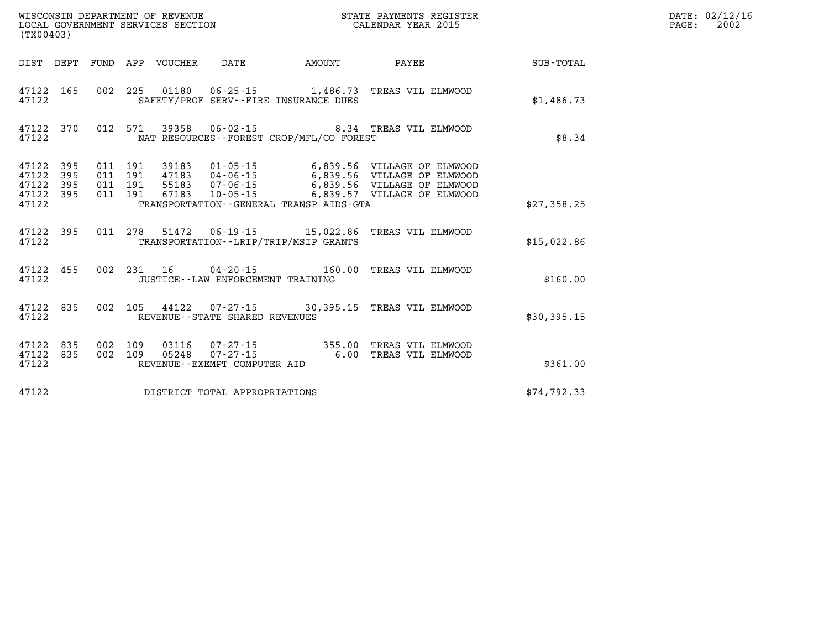| (TX00403)                        |                          |                          |                          | WISCONSIN DEPARTMENT OF REVENUE<br>LOCAL GOVERNMENT SERVICES SECTION |                                                              | STATE PAYMENTS REGISTER<br>CALENDAR YEAR 2015                  |                                                                                           |             |
|----------------------------------|--------------------------|--------------------------|--------------------------|----------------------------------------------------------------------|--------------------------------------------------------------|----------------------------------------------------------------|-------------------------------------------------------------------------------------------|-------------|
| DIST                             | DEPT                     | FUND                     | APP                      | VOUCHER                                                              | DATE                                                         | AMOUNT                                                         | PAYEE                                                                                     | SUB-TOTAL   |
| 47122<br>47122                   | 165                      | 002                      | 225                      | 01180                                                                |                                                              | SAFETY/PROF SERV--FIRE INSURANCE DUES                          | 06-25-15 1,486.73 TREAS VIL ELMWOOD                                                       | \$1,486.73  |
| 47122<br>47122                   | 370                      | 012                      | 571                      |                                                                      |                                                              | NAT RESOURCES--FOREST CROP/MFL/CO FOREST                       | 39358  06-02-15  8.34  TREAS VIL ELMWOOD                                                  | \$8.34      |
| 47122<br>47122<br>47122<br>47122 | 395<br>395<br>395<br>395 | 011<br>011<br>011<br>011 | 191<br>191<br>191<br>191 | 39183<br>47183<br>55183<br>67183                                     | 01-05-15<br>04-06-15<br>$07 - 06 - 15$<br>$10 - 05 - 15$     |                                                                | 6,839.56 VILLAGE OF ELMWOOD<br>6,839.56 VILLAGE OF ELMWOOD<br>6,839.56 VILLAGE OF ELMWOOD |             |
| 47122                            |                          |                          |                          |                                                                      |                                                              | TRANSPORTATION--GENERAL TRANSP AIDS-GTA                        | 6,839.57 VILLAGE OF ELMWOOD                                                               | \$27,358.25 |
| 47122<br>47122                   | 395                      | 011                      | 278                      | 51472                                                                |                                                              | 06-19-15 15,022.86<br>TRANSPORTATION - - LRIP/TRIP/MSIP GRANTS | TREAS VIL ELMWOOD                                                                         | \$15,022.86 |
| 47122<br>47122                   | 455                      | 002                      | 231                      |                                                                      | $16 \t 04 - 20 - 15$<br>JUSTICE - - LAW ENFORCEMENT TRAINING | 160.00                                                         | TREAS VIL ELMWOOD                                                                         | \$160.00    |
| 47122<br>47122                   | 835                      | 002                      | 105                      |                                                                      | REVENUE - - STATE SHARED REVENUES                            |                                                                | 44122  07-27-15  30,395.15  TREAS VIL ELMWOOD                                             | \$30,395.15 |
| 47122<br>47122<br>47122          | 835<br>835               | 002<br>002               | 109<br>109               | 03116<br>05248                                                       | REVENUE--EXEMPT COMPUTER AID                                 |                                                                | TREAS VIL ELMWOOD<br>TREAS VIL ELMWOOD                                                    | \$361.00    |
| 47122                            |                          |                          |                          |                                                                      | DISTRICT TOTAL APPROPRIATIONS                                |                                                                |                                                                                           | \$74,792.33 |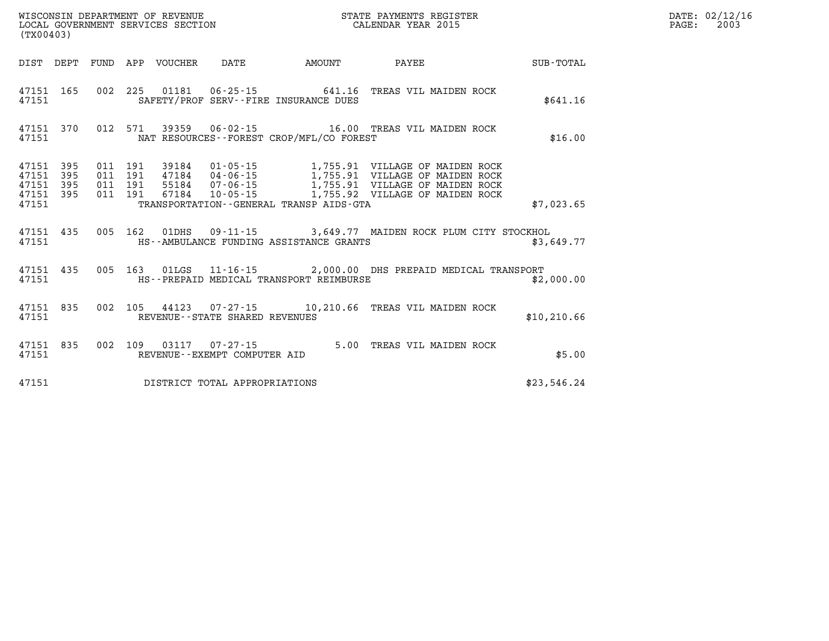| (TX00403)                                 |               |     |     | LOCAL GOVERNMENT SERVICES SECTION |                                | CALENDAR YEAR 2015                                                 |                                                                                                                                                                                                                                         |              |
|-------------------------------------------|---------------|-----|-----|-----------------------------------|--------------------------------|--------------------------------------------------------------------|-----------------------------------------------------------------------------------------------------------------------------------------------------------------------------------------------------------------------------------------|--------------|
|                                           |               |     |     | DIST DEPT FUND APP VOUCHER        |                                | DATE AMOUNT                                                        |                                                                                                                                                                                                                                         |              |
| 47151 165<br>47151                        |               | 002 |     |                                   |                                | 225 01181 06-25-15 641.16<br>SAFETY/PROF SERV--FIRE INSURANCE DUES | TREAS VIL MAIDEN ROCK                                                                                                                                                                                                                   | \$641.16     |
| 47151                                     | 47151 370     |     |     |                                   |                                | NAT RESOURCES--FOREST CROP/MFL/CO FOREST                           | 012 571 39359 06-02-15 16.00 TREAS VIL MAIDEN ROCK                                                                                                                                                                                      | \$16.00      |
| 47151<br>47151<br>47151<br>47151<br>47151 |               |     |     |                                   |                                | TRANSPORTATION--GENERAL TRANSP AIDS-GTA                            | 395 011 191 39184 01-05-15 1,755.91 VILLAGE OF MAIDEN ROCK<br>395 011 191 47184 04-06-15 1,755.91 VILLAGE OF MAIDEN ROCK<br>395 011 191 55184 07-06-15 1,755.91 VILLAGE OF MAIDEN ROCK<br>395 011 191 67184 10-05-15 1,755.92 VILLAGE O | \$7,023.65   |
| 47151                                     | 47151 435 005 |     |     |                                   |                                | HS--AMBULANCE FUNDING ASSISTANCE GRANTS                            | 162 01DHS 09-11-15 3,649.77 MAIDEN ROCK PLUM CITY STOCKHOL                                                                                                                                                                              | \$3,649.77   |
| 47151<br>47151                            | 435           |     |     |                                   |                                | HS--PREPAID MEDICAL TRANSPORT REIMBURSE                            | 005 163 01LGS 11-16-15 2,000.00 DHS PREPAID MEDICAL TRANSPORT                                                                                                                                                                           | \$2,000.00   |
| 47151<br>47151                            | 835           |     |     |                                   | REVENUE--STATE SHARED REVENUES |                                                                    | 002 105 44123 07-27-15 10,210.66 TREAS VIL MAIDEN ROCK                                                                                                                                                                                  | \$10, 210.66 |
| 47151                                     | 47151 835     | 002 | 109 |                                   | REVENUE--EXEMPT COMPUTER AID   | 03117 07-27-15 5.00                                                | TREAS VIL MAIDEN ROCK                                                                                                                                                                                                                   | \$5.00       |
| 47151                                     |               |     |     |                                   | DISTRICT TOTAL APPROPRIATIONS  |                                                                    |                                                                                                                                                                                                                                         | \$23,546.24  |

**DATE: 02/12/16<br>PAGE: 2003** 

WISCONSIN DEPARTMENT OF REVENUE **STATE PAYMENTS REGISTER**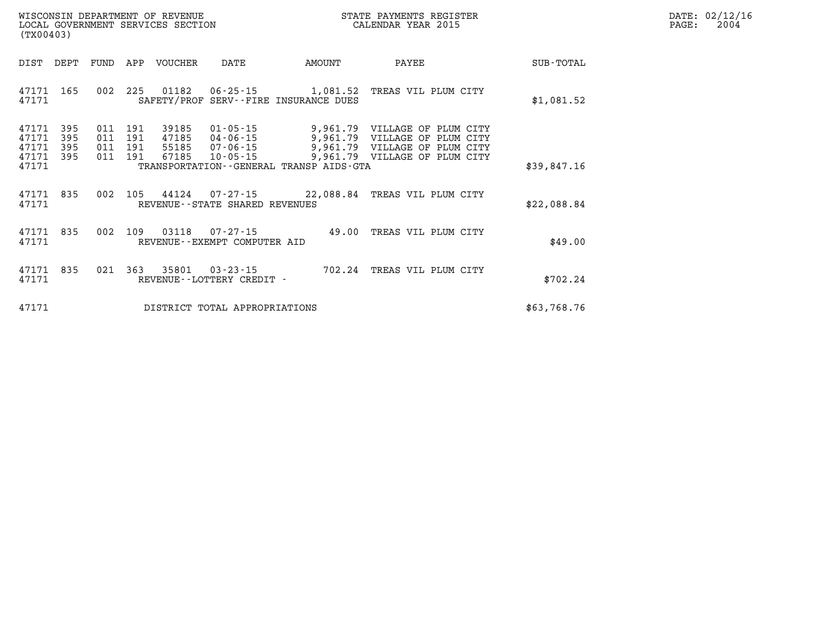| $\mathtt{DATE}$ : | 02/12/16 |
|-------------------|----------|
| PAGE:             | 2004     |

| (TX00403)               |                     |                   |                   | WISCONSIN DEPARTMENT OF REVENUE<br>LOCAL GOVERNMENT SERVICES SECTION |                                   | STATE PAYMENTS REGISTER<br>CALENDAR YEAR 2015                                                                     |                               |             |  |  |  | DZ<br>P |
|-------------------------|---------------------|-------------------|-------------------|----------------------------------------------------------------------|-----------------------------------|-------------------------------------------------------------------------------------------------------------------|-------------------------------|-------------|--|--|--|---------|
| DIST                    | DEPT                | FUND              | APP               | VOUCHER                                                              | DATE                              | AMOUNT                                                                                                            | PAYEE                         | SUB-TOTAL   |  |  |  |         |
| 47171 165<br>47171      |                     |                   | 002 225           |                                                                      |                                   | SAFETY/PROF SERV--FIRE INSURANCE DUES                                                                             | TREAS VIL PLUM CITY           | \$1,081.52  |  |  |  |         |
| 47171<br>47171<br>47171 | 395<br>395<br>- 395 | 011<br>011<br>011 | 191<br>191<br>191 | 39185<br>47185                                                       | 01-05-15<br>55185 07-06-15        | 9,961.79 VILLAGE OF PLUM CITY<br>04-06-15 9,961.79 VILLAGE OF PLUM CITY<br>07-06-15 9,961.79 VILLAGE OF PLUM CITY |                               |             |  |  |  |         |
| 47171<br>47171          | 395                 | 011               | 191               | 67185                                                                | $10 - 05 - 15$                    | TRANSPORTATION - - GENERAL TRANSP AIDS - GTA                                                                      | 9,961.79 VILLAGE OF PLUM CITY | \$39,847.16 |  |  |  |         |
| 47171<br>47171          | 835                 | 002               | 105               |                                                                      | REVENUE - - STATE SHARED REVENUES | 44124 07-27-15 22,088.84 TREAS VIL PLUM CITY                                                                      |                               | \$22,088.84 |  |  |  |         |
| 47171 835<br>47171      |                     |                   | 002 109           |                                                                      | REVENUE - - EXEMPT COMPUTER AID   | 49.00                                                                                                             | TREAS VIL PLUM CITY           | \$49.00     |  |  |  |         |
| 47171<br>47171          | 835                 | 021               | 363               |                                                                      | REVENUE--LOTTERY CREDIT -         | 35801  03-23-15  702.24  TREAS VIL PLUM CITY                                                                      |                               | \$702.24    |  |  |  |         |
| 47171                   |                     |                   |                   |                                                                      | DISTRICT TOTAL APPROPRIATIONS     |                                                                                                                   |                               | \$63,768.76 |  |  |  |         |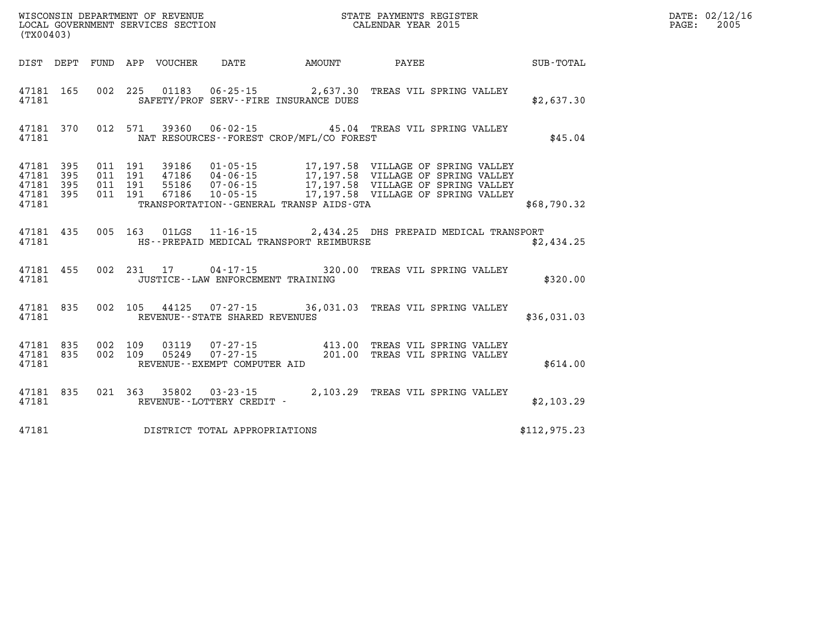| (TX00403) |                                                  |  |                                       |                                             |                                                                                                                                                                                                                                                                                                                                                                  |              | DATE: 02/12/16<br>2005<br>$\mathtt{PAGE:}$ |
|-----------|--------------------------------------------------|--|---------------------------------------|---------------------------------------------|------------------------------------------------------------------------------------------------------------------------------------------------------------------------------------------------------------------------------------------------------------------------------------------------------------------------------------------------------------------|--------------|--------------------------------------------|
|           |                                                  |  |                                       |                                             | DIST DEPT FUND APP VOUCHER DATE AMOUNT PAYEE SUB-TOTAL                                                                                                                                                                                                                                                                                                           |              |                                            |
|           |                                                  |  |                                       | 47181 SAFETY/PROF SERV--FIRE INSURANCE DUES | 47181 165 002 225 01183 06-25-15 2,637.30 TREAS VIL SPRING VALLEY                                                                                                                                                                                                                                                                                                | \$2,637.30   |                                            |
|           | 47181                                            |  |                                       | NAT RESOURCES - - FOREST CROP/MFL/CO FOREST | 47181 370 012 571 39360 06-02-15 45.04 TREAS VIL SPRING VALLEY                                                                                                                                                                                                                                                                                                   | \$45.04      |                                            |
| 47181     | 47181 395<br>47181 395<br>47181 395<br>47181 395 |  |                                       | TRANSPORTATION - GENERAL TRANSP AIDS GTA    | $\begin{array}{cccc} 011 & 191 & 39186 & 01\cdot 05\cdot 15 & 17,197.58 & \text{VILLAGE OF SPRING VALUEY} \\ 011 & 191 & 47186 & 04\cdot 06\cdot 15 & 17,197.58 & \text{VILLAGE OF SPRING VALUEY} \\ 011 & 191 & 55186 & 07\cdot 06\cdot 15 & 17,197.58 & \text{VILLAGE OF SPRING VALUEY} \\ 011 & 191 & 67186 & 10\cdot 05\cdot 15 & 17,197.58 & \text{VILLAGE$ | \$68,790.32  |                                            |
| 47181     |                                                  |  |                                       | HS--PREPAID MEDICAL TRANSPORT REIMBURSE     | 47181 435 005 163 01LGS 11-16-15 2,434.25 DHS PREPAID MEDICAL TRANSPORT                                                                                                                                                                                                                                                                                          | \$2,434.25   |                                            |
|           | 47181                                            |  | JUSTICE -- LAW ENFORCEMENT TRAINING   |                                             | 47181 455 002 231 17 04-17-15 320.00 TREAS VIL SPRING VALLEY                                                                                                                                                                                                                                                                                                     | \$320.00     |                                            |
|           |                                                  |  | 47181 REVENUE - STATE SHARED REVENUES |                                             | 47181 835 002 105 44125 07-27-15 36,031.03 TREAS VIL SPRING VALLEY                                                                                                                                                                                                                                                                                               | \$36,031.03  |                                            |
|           | 47181                                            |  | REVENUE--EXEMPT COMPUTER AID          |                                             | 47181 835 002 109 03119 07-27-15 413.00 TREAS VIL SPRING VALLEY 47181 835 002 109 05249 07-27-15 201.00 TREAS VIL SPRING VALLEY                                                                                                                                                                                                                                  | \$614.00     |                                            |
| 47181     |                                                  |  | REVENUE--LOTTERY CREDIT -             |                                             | 47181 835 021 363 35802 03-23-15 2,103.29 TREAS VIL SPRING VALLEY                                                                                                                                                                                                                                                                                                | \$2,103.29   |                                            |
| 47181     |                                                  |  | DISTRICT TOTAL APPROPRIATIONS         |                                             |                                                                                                                                                                                                                                                                                                                                                                  | \$112,975.23 |                                            |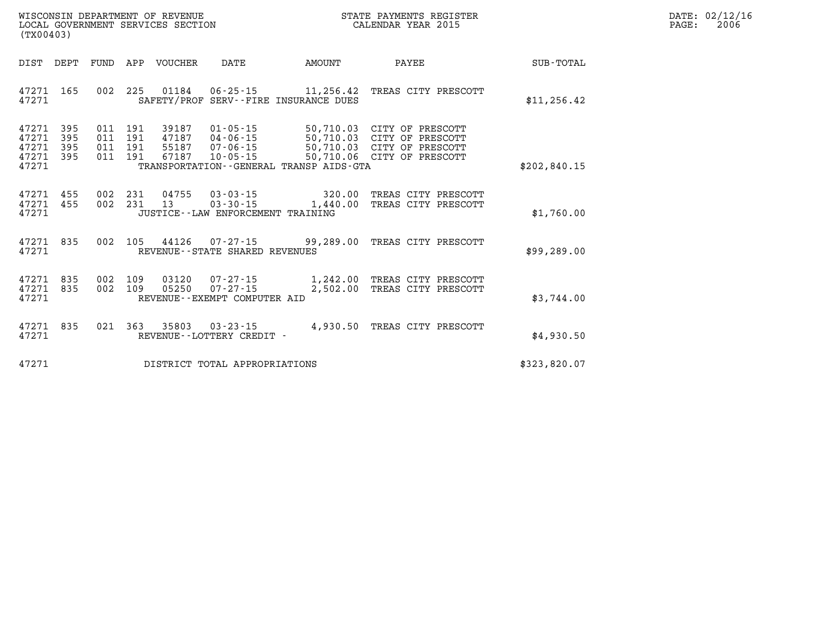| WISCONSIN DEPARTMENT OF REVENUE   | STATE PAYMENTS REGISTER |       | DATE: 02/12/16 |
|-----------------------------------|-------------------------|-------|----------------|
| LOCAL GOVERNMENT SERVICES SECTION | CALENDAR YEAR 2015      | PAGE: | 2006           |

|                  |                                                                                                            |                                                      |                                                                      |                                  |                          |                          | (TX00403)                |                                           |
|------------------|------------------------------------------------------------------------------------------------------------|------------------------------------------------------|----------------------------------------------------------------------|----------------------------------|--------------------------|--------------------------|--------------------------|-------------------------------------------|
| <b>SUB-TOTAL</b> | PAYEE                                                                                                      | AMOUNT                                               | DATE                                                                 | VOUCHER                          | APP                      | FUND                     | DEPT                     | DIST                                      |
| \$11, 256.42     | TREAS CITY PRESCOTT                                                                                        | 11,256.42<br>SAFETY/PROF SERV--FIRE INSURANCE DUES   | $06 - 25 - 15$                                                       | 01184                            | 225                      | 002                      | 165                      | 47271<br>47271                            |
| \$202,840.15     | CITY OF PRESCOTT<br>50,710.03 CITY OF PRESCOTT<br>50,710.03 CITY OF PRESCOTT<br>50,710.06 CITY OF PRESCOTT | 50,710.03<br>TRANSPORTATION--GENERAL TRANSP AIDS-GTA | $01 - 05 - 15$<br>$04 - 06 - 15$<br>$07 - 06 - 15$<br>$10 - 05 - 15$ | 39187<br>47187<br>55187<br>67187 | 191<br>191<br>191<br>191 | 011<br>011<br>011<br>011 | 395<br>395<br>395<br>395 | 47271<br>47271<br>47271<br>47271<br>47271 |
| \$1,760.00       | TREAS CITY PRESCOTT<br>TREAS CITY PRESCOTT                                                                 | 320.00<br>$03 - 30 - 15$ 1,440.00                    | $03 - 03 - 15$<br>JUSTICE - - LAW ENFORCEMENT TRAINING               | 04755<br>13                      | 231<br>231               | 002<br>002               | 455<br>455               | 47271<br>47271<br>47271                   |
| \$99, 289.00     | TREAS CITY PRESCOTT                                                                                        | 44126 07-27-15 99,289.00                             | REVENUE - - STATE SHARED REVENUES                                    |                                  | 105                      | 002                      | 835                      | 47271<br>47271                            |
| \$3,744.00       | 1,242.00 TREAS CITY PRESCOTT<br>TREAS CITY PRESCOTT                                                        | 2,502.00                                             | $07 - 27 - 15$<br>$07 - 27 - 15$<br>REVENUE - - EXEMPT COMPUTER AID  | 03120<br>05250                   | 109<br>109               | 002<br>002               | 835<br>835               | 47271<br>47271<br>47271                   |
| \$4,930.50       | TREAS CITY PRESCOTT                                                                                        | 4,930.50                                             | $03 - 23 - 15$<br>REVENUE - - LOTTERY CREDIT -                       | 35803                            | 363                      | 021                      | 835                      | 47271<br>47271                            |
| \$323,820.07     |                                                                                                            |                                                      | DISTRICT TOTAL APPROPRIATIONS                                        |                                  |                          |                          |                          | 47271                                     |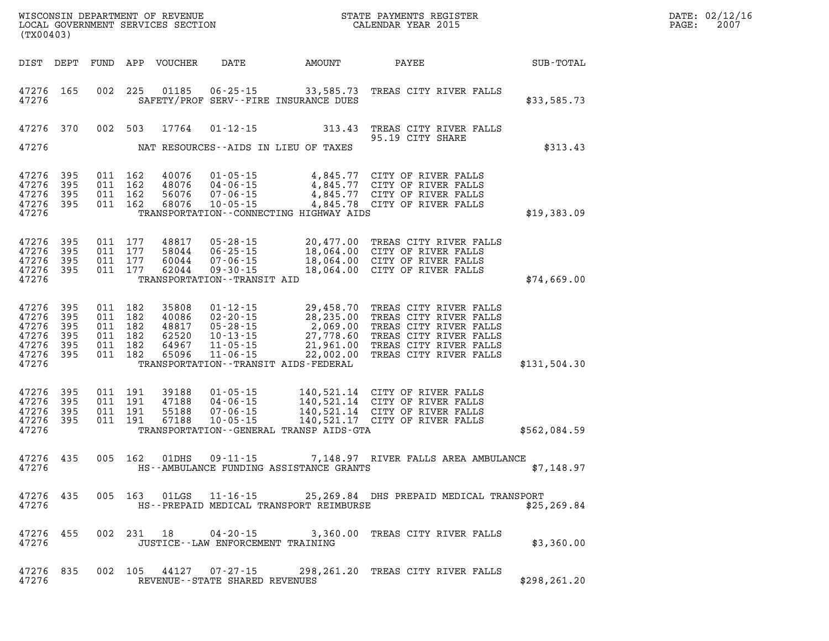| WISCONSIN DEPARTMENT OF REVENUE<br>LOCAL GOVERNMENT SERVICES SECTION<br>(TWARAGO)<br>(TX00403) |                                                  |                               |                                                     |                                  |                                      |                                           |                                                                                                                                                                                                                                        |              | DATE: 02/12/16<br>$\mathtt{PAGE:}$<br>2007 |
|------------------------------------------------------------------------------------------------|--------------------------------------------------|-------------------------------|-----------------------------------------------------|----------------------------------|--------------------------------------|-------------------------------------------|----------------------------------------------------------------------------------------------------------------------------------------------------------------------------------------------------------------------------------------|--------------|--------------------------------------------|
|                                                                                                |                                                  |                               |                                                     |                                  |                                      |                                           | DIST DEPT FUND APP VOUCHER DATE AMOUNT PAYEE                                                                                                                                                                                           | SUB-TOTAL    |                                            |
| 47276                                                                                          | 47276 165                                        |                               |                                                     |                                  |                                      | SAFETY/PROF SERV--FIRE INSURANCE DUES     | 002 225 01185 06-25-15 33,585.73 TREAS CITY RIVER FALLS                                                                                                                                                                                | \$33,585.73  |                                            |
| 47276                                                                                          |                                                  | 47276 370 002 503             |                                                     | 17764                            |                                      | NAT RESOURCES--AIDS IN LIEU OF TAXES      | 01-12-15 313.43 TREAS CITY RIVER FALLS<br>95.19 CITY SHARE                                                                                                                                                                             | \$313.43     |                                            |
| 47276                                                                                          | 47276 395<br>47276 395<br>47276 395<br>47276 395 | 011 162<br>011 162<br>011 162 | 011 162                                             |                                  |                                      | TRANSPORTATION -- CONNECTING HIGHWAY AIDS | 40076 01-05-15 4,845.77 CITY OF RIVER FALLS<br>48076 04-06-15 4,845.77 CITY OF RIVER FALLS<br>56076 07-06-15 4,845.77 CITY OF RIVER FALLS<br>68076 10-05-15 4,845.78 CITY OF RIVER FALLS                                               | \$19,383.09  |                                            |
| 47276                                                                                          | 47276 395<br>47276 395<br>47276 395<br>47276 395 | 011 177<br>011 177            | 011 177<br>011 177                                  |                                  | TRANSPORTATION - - TRANSIT AID       |                                           | 48817 05-28-15 20,477.00 TREAS CITY RIVER FALLS<br>58044 06-25-15 18,064.00 CITY OF RIVER FALLS<br>60044 07-06-15 18,064.00 CITY OF RIVER FALLS<br>62044 09-30-15 18,064.00 CITY OF RIVER FALLS                                        | \$74,669.00  |                                            |
| 47276 395<br>47276 395<br>47276<br>47276 395<br>47276 395<br>47276                             | 395<br>47276 395                                 | 011 182                       | 011 182<br>011 182<br>011 182<br>011 182<br>011 182 |                                  |                                      | TRANSPORTATION - - TRANSIT AIDS - FEDERAL | 35808  01-12-15  29,458.70 TREAS CITY RIVER FALLS<br>40086  02-20-15  28,235.00 TREAS CITY RIVER FALLS<br>48817  05-28-15  2,069.00 TREAS CITY RIVER FALLS<br>62520  10-13-15  27,778.60 TREAS CITY RIVER FALLS<br>64967  11-05-15  22 | \$131,504.30 |                                            |
| 47276 395<br>47276                                                                             | 47276 395<br>47276 395<br>47276 395              | 011 191<br>011 191<br>011 191 | 011 191                                             | 39188<br>47188<br>55188<br>67188 |                                      | TRANSPORTATION--GENERAL TRANSP AIDS-GTA   | 01-05-15 140,521.14 CITY OF RIVER FALLS<br>04-06-15 140,521.14 CITY OF RIVER FALLS<br>07-06-15 140,521.14 CITY OF RIVER FALLS<br>10-05-15 140,521.17 CITY OF RIVER FALLS                                                               | \$562,084.59 |                                            |
| 47276                                                                                          | 47276 435                                        |                               | 005 162                                             | 01DHS                            |                                      |                                           | 09-11-15 7,148.97 RIVER FALLS AREA AMBULANCE<br>HS--AMBULANCE FUNDING ASSISTANCE GRANTS                                                                                                                                                | \$7,148.97   |                                            |
| 47276                                                                                          | 47276 435                                        |                               |                                                     | 005 163 01LGS                    |                                      | HS--PREPAID MEDICAL TRANSPORT REIMBURSE   | 11-16-15 25,269.84 DHS PREPAID MEDICAL TRANSPORT                                                                                                                                                                                       | \$25, 269.84 |                                            |
| 47276                                                                                          | 47276 455                                        |                               |                                                     | 002 231 18                       | JUSTICE - - LAW ENFORCEMENT TRAINING |                                           | 04-20-15 3,360.00 TREAS CITY RIVER FALLS                                                                                                                                                                                               | \$3,360.00   |                                            |

**47276 835 002 105 44127 07-27-15 298,261.20 TREAS CITY RIVER FALLS 47276 REVENUE--STATE SHARED REVENUES \$298,261.20**  PAGE: 2007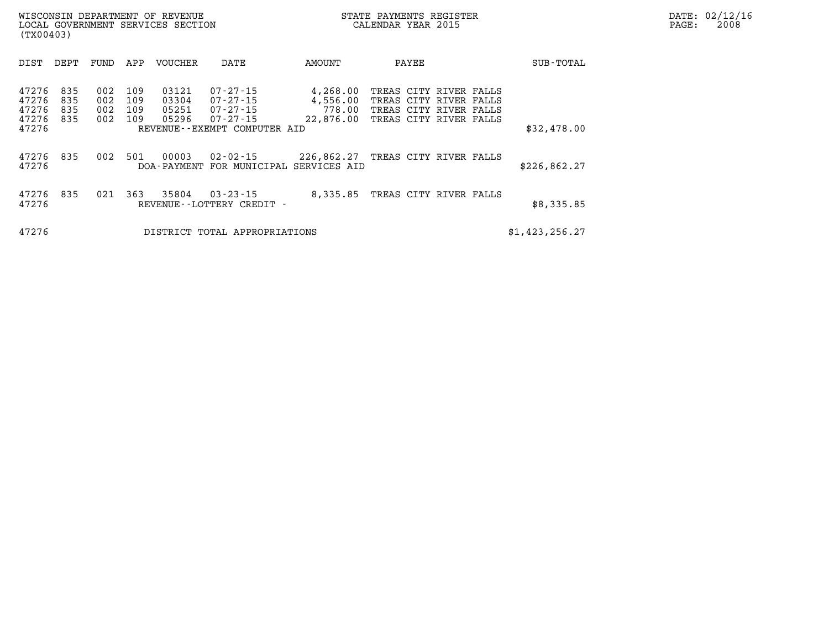| DATE: | 02/12/16 |
|-------|----------|
| PAGE: | 2008     |

| DIST                                      | DEPT                     | FUND                     | APP                      | VOUCHER                          | DATE                                                                                                 | AMOUNT                                      | PAYEE                                                                                                |  | SUB-TOTAL      |
|-------------------------------------------|--------------------------|--------------------------|--------------------------|----------------------------------|------------------------------------------------------------------------------------------------------|---------------------------------------------|------------------------------------------------------------------------------------------------------|--|----------------|
| 47276<br>47276<br>47276<br>47276<br>47276 | 835<br>835<br>835<br>835 | 002<br>002<br>002<br>002 | 109<br>109<br>109<br>109 | 03121<br>03304<br>05251<br>05296 | $07 - 27 - 15$<br>$07 - 27 - 15$<br>$07 - 27 - 15$<br>$07 - 27 - 15$<br>REVENUE--EXEMPT COMPUTER AID | 4,268.00<br>4,556.00<br>778.00<br>22,876.00 | TREAS CITY RIVER FALLS<br>TREAS CITY RIVER FALLS<br>TREAS CITY RIVER FALLS<br>TREAS CITY RIVER FALLS |  | \$32,478.00    |
| 47276<br>47276                            | 835                      | 002                      | 501                      | 00003<br>DOA - PAYMENT           | $02 - 02 - 15$<br>FOR MUNICIPAL                                                                      | 226,862.27<br>SERVICES AID                  | TREAS CITY RIVER FALLS                                                                               |  | \$226,862.27   |
| 47276<br>47276                            | 835                      | 021                      | 363                      | 35804                            | $03 - 23 - 15$<br>REVENUE - - LOTTERY CREDIT                                                         | 8,335.85                                    | TREAS CITY RIVER FALLS                                                                               |  | \$8,335.85     |
| 47276                                     |                          |                          |                          | DISTRICT                         | TOTAL APPROPRIATIONS                                                                                 |                                             |                                                                                                      |  | \$1,423,256.27 |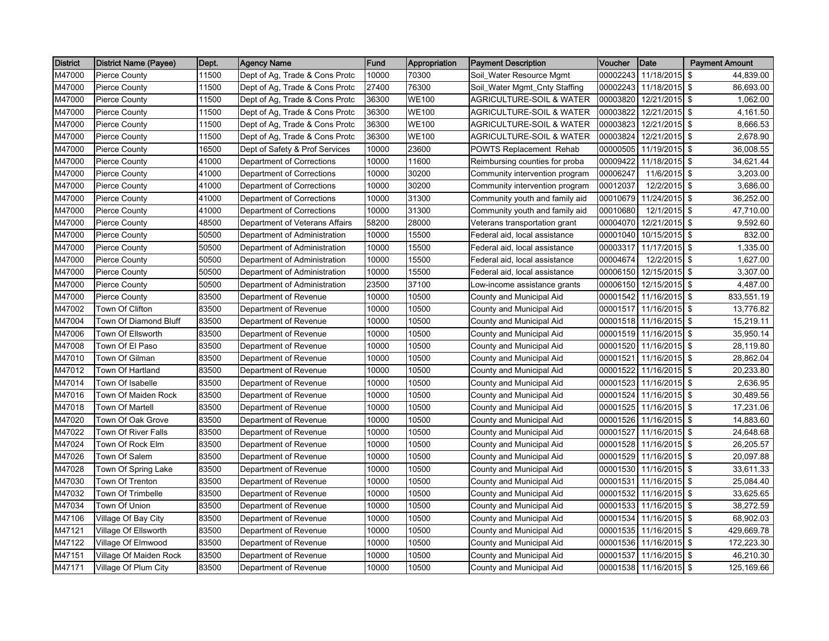| <b>District</b> | District Name (Payee)  | Dept. | <b>Agency Name</b>             | Fund  | Appropriation | <b>Payment Description</b>          | <b>Voucher</b> | Date                   | <b>Payment Amount</b> |
|-----------------|------------------------|-------|--------------------------------|-------|---------------|-------------------------------------|----------------|------------------------|-----------------------|
| M47000          | <b>Pierce County</b>   | 11500 | Dept of Ag, Trade & Cons Protc | 10000 | 70300         | Soil_Water Resource Mgmt            | 00002243       | 11/18/2015             | \$<br>44,839.00       |
| M47000          | <b>Pierce County</b>   | 11500 | Dept of Ag, Trade & Cons Protc | 27400 | 76300         | Soil_Water Mgmt_Cnty Staffing       | 00002243       | 11/18/2015 \$          | 86,693.00             |
| M47000          | <b>Pierce County</b>   | 11500 | Dept of Ag, Trade & Cons Protc | 36300 | <b>WE100</b>  | AGRICULTURE-SOIL & WATER            | 00003820       | 12/21/2015 \$          | 1,062.00              |
| M47000          | <b>Pierce County</b>   | 11500 | Dept of Ag, Trade & Cons Protc | 36300 | <b>WE100</b>  | AGRICULTURE-SOIL & WATER            | 00003822       | 12/21/2015 \$          | 4,161.50              |
| M47000          | <b>Pierce County</b>   | 11500 | Dept of Ag, Trade & Cons Protc | 36300 | <b>WE100</b>  | <b>AGRICULTURE-SOIL &amp; WATER</b> | 00003823       | 12/21/2015 \$          | 8,666.53              |
| M47000          | <b>Pierce County</b>   | 11500 | Dept of Ag, Trade & Cons Protc | 36300 | <b>WE100</b>  | AGRICULTURE-SOIL & WATER            | 00003824       | 12/21/2015 \$          | 2,678.90              |
| M47000          | <b>Pierce County</b>   | 16500 | Dept of Safety & Prof Services | 10000 | 23600         | <b>POWTS Replacement Rehab</b>      | 00000505       | 11/19/2015 \$          | 36,008.55             |
| M47000          | <b>Pierce County</b>   | 41000 | Department of Corrections      | 10000 | 11600         | Reimbursing counties for proba      | 00009422       | 11/18/2015 \$          | 34,621.44             |
| M47000          | <b>Pierce County</b>   | 41000 | Department of Corrections      | 10000 | 30200         | Community intervention program      | 00006247       | 11/6/2015 \$           | 3,203.00              |
| M47000          | <b>Pierce County</b>   | 41000 | Department of Corrections      | 10000 | 30200         | Community intervention program      | 00012037       | 12/2/2015 \$           | 3,686.00              |
| M47000          | <b>Pierce County</b>   | 41000 | Department of Corrections      | 10000 | 31300         | Community youth and family aid      | 00010679       | 11/24/2015 \$          | 36,252.00             |
| M47000          | <b>Pierce County</b>   | 41000 | Department of Corrections      | 10000 | 31300         | Community youth and family aid      | 00010680       | $12/1/2015$ \$         | 47,710.00             |
| M47000          | <b>Pierce County</b>   | 48500 | Department of Veterans Affairs | 58200 | 28000         | Veterans transportation grant       | 00004070       | 12/21/2015 \$          | 9,592.60              |
| M47000          | <b>Pierce County</b>   | 50500 | Department of Administration   | 10000 | 15500         | Federal aid, local assistance       | 00001040       | 10/15/2015 \$          | 832.00                |
| M47000          | <b>Pierce County</b>   | 50500 | Department of Administration   | 10000 | 15500         | Federal aid, local assistance       | 00003317       | 11/17/2015 \$          | 1,335.00              |
| M47000          | <b>Pierce County</b>   | 50500 | Department of Administration   | 10000 | 15500         | Federal aid, local assistance       | 00004674       | 12/2/2015 \$           | 1,627.00              |
| M47000          | <b>Pierce County</b>   | 50500 | Department of Administration   | 10000 | 15500         | Federal aid, local assistance       | 00006150       | 12/15/2015 \$          | 3,307.00              |
| M47000          | <b>Pierce County</b>   | 50500 | Department of Administration   | 23500 | 37100         | Low-income assistance grants        | 00006150       | 12/15/2015 \$          | 4,487.00              |
| M47000          | <b>Pierce County</b>   | 83500 | Department of Revenue          | 10000 | 10500         | County and Municipal Aid            | 00001542       | 11/16/2015 \$          | 833,551.19            |
| M47002          | Town Of Clifton        | 83500 | Department of Revenue          | 10000 | 10500         | County and Municipal Aid            | 00001517       | 11/16/2015 \$          | 13,776.82             |
| M47004          | Town Of Diamond Bluff  | 83500 | Department of Revenue          | 10000 | 10500         | County and Municipal Aid            | 00001518       | 11/16/2015 \$          | 15,219.11             |
| M47006          | Town Of Ellsworth      | 83500 | Department of Revenue          | 10000 | 10500         | County and Municipal Aid            | 00001519       | 11/16/2015 \$          | 35,950.14             |
| M47008          | Town Of El Paso        | 83500 | Department of Revenue          | 10000 | 10500         | County and Municipal Aid            | 00001520       | 11/16/2015 \$          | 28,119.80             |
| M47010          | Town Of Gilman         | 83500 | Department of Revenue          | 10000 | 10500         | County and Municipal Aid            | 00001521       | 11/16/2015 \$          | 28,862.04             |
| M47012          | Town Of Hartland       | 83500 | Department of Revenue          | 10000 | 10500         | County and Municipal Aid            | 00001522       | 11/16/2015 \$          | 20,233.80             |
| M47014          | Town Of Isabelle       | 83500 | Department of Revenue          | 10000 | 10500         | County and Municipal Aid            | 00001523       | 11/16/2015 \$          | 2,636.95              |
| M47016          | Town Of Maiden Rock    | 83500 | Department of Revenue          | 10000 | 10500         | County and Municipal Aid            | 00001524       | 11/16/2015 \$          | 30,489.56             |
| M47018          | Town Of Martell        | 83500 | Department of Revenue          | 10000 | 10500         | County and Municipal Aid            | 00001525       | 11/16/2015 \$          | 17,231.06             |
| M47020          | Town Of Oak Grove      | 83500 | Department of Revenue          | 10000 | 10500         | County and Municipal Aid            | 00001526       | 11/16/2015 \$          | 14,883.60             |
| M47022          | Town Of River Falls    | 83500 | Department of Revenue          | 10000 | 10500         | County and Municipal Aid            | 00001527       | 11/16/2015 \$          | 24,648.68             |
| M47024          | Town Of Rock Elm       | 83500 | Department of Revenue          | 10000 | 10500         | County and Municipal Aid            | 00001528       | 11/16/2015 \$          | 26,205.57             |
| M47026          | Town Of Salem          | 83500 | Department of Revenue          | 10000 | 10500         | County and Municipal Aid            | 00001529       | 11/16/2015 \$          | 20,097.88             |
| M47028          | Town Of Spring Lake    | 83500 | Department of Revenue          | 10000 | 10500         | County and Municipal Aid            | 00001530       | 11/16/2015 \$          | 33,611.33             |
| M47030          | Town Of Trenton        | 83500 | Department of Revenue          | 10000 | 10500         | County and Municipal Aid            | 00001531       | 11/16/2015 \$          | 25,084.40             |
| M47032          | Town Of Trimbelle      | 83500 | Department of Revenue          | 10000 | 10500         | County and Municipal Aid            | 00001532       | 11/16/2015 \$          | 33,625.65             |
| M47034          | Town Of Union          | 83500 | Department of Revenue          | 10000 | 10500         | County and Municipal Aid            | 00001533       | 11/16/2015 \$          | 38,272.59             |
| M47106          | Village Of Bay City    | 83500 | Department of Revenue          | 10000 | 10500         | County and Municipal Aid            | 00001534       | 11/16/2015 \$          | 68,902.03             |
| M47121          | Village Of Ellsworth   | 83500 | Department of Revenue          | 10000 | 10500         | County and Municipal Aid            | 00001535       | 11/16/2015 \$          | 429,669.78            |
| M47122          | Village Of Elmwood     | 83500 | Department of Revenue          | 10000 | 10500         | County and Municipal Aid            | 00001536       | 11/16/2015 \$          | 172,223.30            |
| M47151          | Village Of Maiden Rock | 83500 | Department of Revenue          | 10000 | 10500         | County and Municipal Aid            | 00001537       | 11/16/2015 \$          | 46,210.30             |
| M47171          | Village Of Plum City   | 83500 | Department of Revenue          | 10000 | 10500         | County and Municipal Aid            |                | 00001538 11/16/2015 \$ | 125,169.66            |